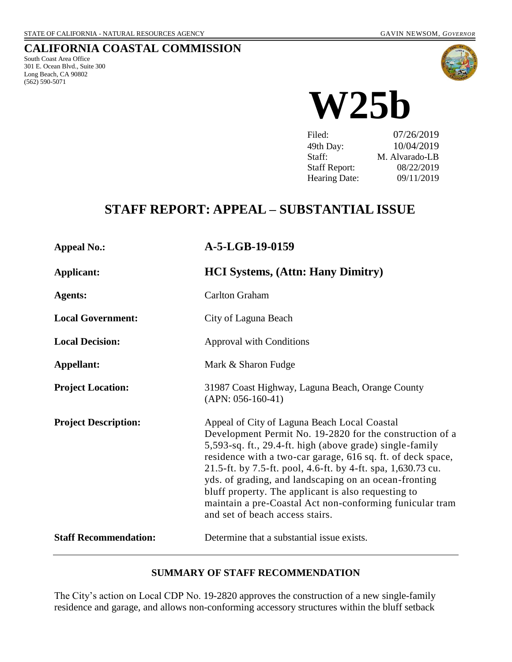# **CALIFORNIA COASTAL COMMISSION**

South Coast Area Office 301 E. Ocean Blvd., Suite 300 Long Beach, CA 90802 (562) 590-5071



**W25b**

Filed: 07/26/2019 49th Day: 10/04/2019 Staff: M. Alvarado-LB Staff Report: 08/22/2019 Hearing Date: 09/11/2019

# **STAFF REPORT: APPEAL – SUBSTANTIAL ISSUE**

| <b>Appeal No.:</b>           | A-5-LGB-19-0159                                                                                                                                                                                                                                                                                                                                                                                                                                                                                                    |
|------------------------------|--------------------------------------------------------------------------------------------------------------------------------------------------------------------------------------------------------------------------------------------------------------------------------------------------------------------------------------------------------------------------------------------------------------------------------------------------------------------------------------------------------------------|
| Applicant:                   | <b>HCI Systems, (Attn: Hany Dimitry)</b>                                                                                                                                                                                                                                                                                                                                                                                                                                                                           |
| <b>Agents:</b>               | <b>Carlton Graham</b>                                                                                                                                                                                                                                                                                                                                                                                                                                                                                              |
| <b>Local Government:</b>     | City of Laguna Beach                                                                                                                                                                                                                                                                                                                                                                                                                                                                                               |
| <b>Local Decision:</b>       | <b>Approval with Conditions</b>                                                                                                                                                                                                                                                                                                                                                                                                                                                                                    |
| Appellant:                   | Mark & Sharon Fudge                                                                                                                                                                                                                                                                                                                                                                                                                                                                                                |
| <b>Project Location:</b>     | 31987 Coast Highway, Laguna Beach, Orange County<br>$(APN: 056-160-41)$                                                                                                                                                                                                                                                                                                                                                                                                                                            |
| <b>Project Description:</b>  | Appeal of City of Laguna Beach Local Coastal<br>Development Permit No. 19-2820 for the construction of a<br>5,593-sq. ft., 29.4-ft. high (above grade) single-family<br>residence with a two-car garage, 616 sq. ft. of deck space,<br>21.5-ft. by 7.5-ft. pool, 4.6-ft. by 4-ft. spa, 1,630.73 cu.<br>yds. of grading, and landscaping on an ocean-fronting<br>bluff property. The applicant is also requesting to<br>maintain a pre-Coastal Act non-conforming funicular tram<br>and set of beach access stairs. |
| <b>Staff Recommendation:</b> | Determine that a substantial issue exists.                                                                                                                                                                                                                                                                                                                                                                                                                                                                         |

#### **SUMMARY OF STAFF RECOMMENDATION**

The City's action on Local CDP No. 19-2820 approves the construction of a new single-family residence and garage, and allows non-conforming accessory structures within the bluff setback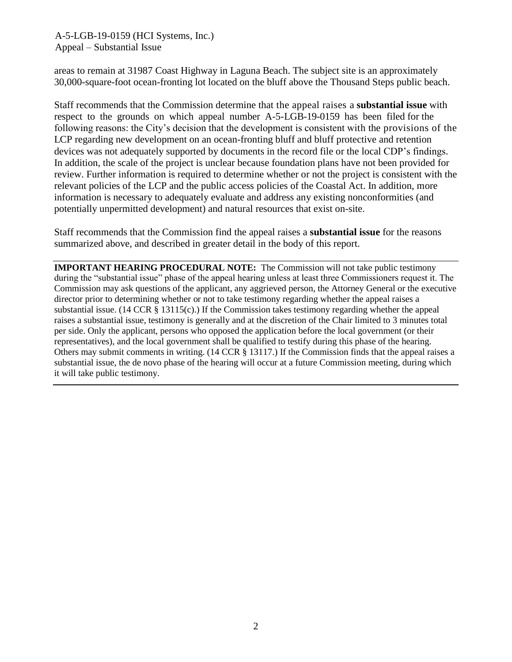areas to remain at 31987 Coast Highway in Laguna Beach. The subject site is an approximately 30,000-square-foot ocean-fronting lot located on the bluff above the Thousand Steps public beach.

Staff recommends that the Commission determine that the appeal raises a **substantial issue** with respect to the grounds on which appeal number A-5-LGB-19-0159 has been filed for the following reasons: the City's decision that the development is consistent with the provisions of the LCP regarding new development on an ocean-fronting bluff and bluff protective and retention devices was not adequately supported by documents in the record file or the local CDP's findings. In addition, the scale of the project is unclear because foundation plans have not been provided for review. Further information is required to determine whether or not the project is consistent with the relevant policies of the LCP and the public access policies of the Coastal Act. In addition, more information is necessary to adequately evaluate and address any existing nonconformities (and potentially unpermitted development) and natural resources that exist on-site.

Staff recommends that the Commission find the appeal raises a **substantial issue** for the reasons summarized above, and described in greater detail in the body of this report.

**IMPORTANT HEARING PROCEDURAL NOTE:** The Commission will not take public testimony during the "substantial issue" phase of the appeal hearing unless at least three Commissioners request it. The Commission may ask questions of the applicant, any aggrieved person, the Attorney General or the executive director prior to determining whether or not to take testimony regarding whether the appeal raises a substantial issue. (14 CCR  $\S$  13115(c).) If the Commission takes testimony regarding whether the appeal raises a substantial issue, testimony is generally and at the discretion of the Chair limited to 3 minutes total per side. Only the applicant, persons who opposed the application before the local government (or their representatives), and the local government shall be qualified to testify during this phase of the hearing. Others may submit comments in writing. (14 CCR § 13117.) If the Commission finds that the appeal raises a substantial issue, the de novo phase of the hearing will occur at a future Commission meeting, during which it will take public testimony.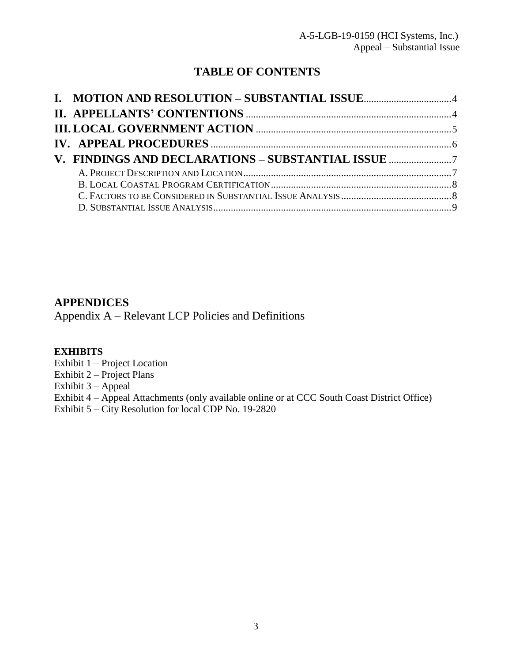# **TABLE OF CONTENTS**

| V. FINDINGS AND DECLARATIONS - SUBSTANTIAL ISSUE |  |
|--------------------------------------------------|--|
|                                                  |  |
|                                                  |  |
|                                                  |  |

## **APPENDICES**

Appendix A – [Relevant LCP Policies and Definitions](#page-26-0)

#### **EXHIBITS**

Exhibit 1 – Project Location

Exhibit 2 – Project Plans

Exhibit 3 – Appeal

Exhibit 4 – [Appeal Attachments \(only available online or at CCC South Coast District Office\)](https://documents.coastal.ca.gov/reports/2019/9/W25b/W25b-9-2019-exhibits.pdf)

Exhibit 5 – City Resolution for local CDP No. 19-2820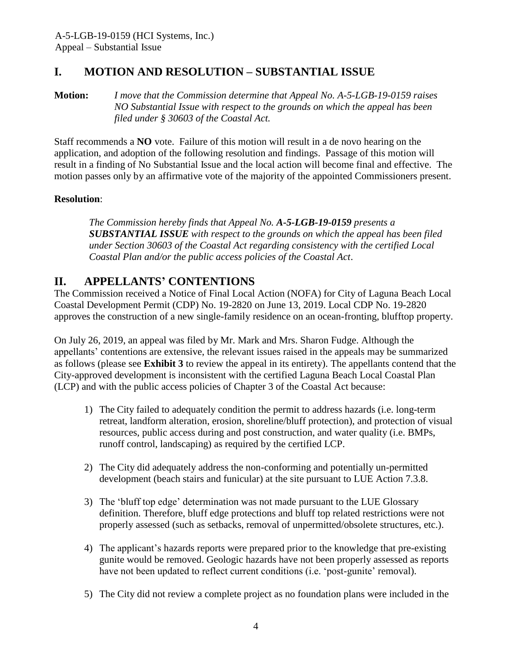# <span id="page-3-0"></span>**I. MOTION AND RESOLUTION – SUBSTANTIAL ISSUE**

**Motion:** *I move that the Commission determine that Appeal No. A-5-LGB-19-0159 raises NO Substantial Issue with respect to the grounds on which the appeal has been filed under § 30603 of the Coastal Act.*

Staff recommends a **NO** vote. Failure of this motion will result in a de novo hearing on the application, and adoption of the following resolution and findings. Passage of this motion will result in a finding of No Substantial Issue and the local action will become final and effective. The motion passes only by an affirmative vote of the majority of the appointed Commissioners present.

## **Resolution**:

*The Commission hereby finds that Appeal No. A-5-LGB-19-0159 presents a SUBSTANTIAL ISSUE with respect to the grounds on which the appeal has been filed under Section 30603 of the Coastal Act regarding consistency with the certified Local Coastal Plan and/or the public access policies of the Coastal Act*.

## <span id="page-3-1"></span>**II. APPELLANTS' CONTENTIONS**

The Commission received a Notice of Final Local Action (NOFA) for City of Laguna Beach Local Coastal Development Permit (CDP) No. 19-2820 on June 13, 2019. Local CDP No. 19-2820 approves the construction of a new single-family residence on an ocean-fronting, blufftop property.

On July 26, 2019, an appeal was filed by Mr. Mark and Mrs. Sharon Fudge. Although the appellants' contentions are extensive, the relevant issues raised in the appeals may be summarized as follows (please see **[Exhibit 3](https://documents.coastal.ca.gov/reports/2019/9/W25b/W25b-9-2019-exhibits.pdf)** to review the appeal in its entirety). The appellants contend that the City-approved development is inconsistent with the certified Laguna Beach Local Coastal Plan (LCP) and with the public access policies of Chapter 3 of the Coastal Act because:

- 1) The City failed to adequately condition the permit to address hazards (i.e. long-term retreat, landform alteration, erosion, shoreline/bluff protection), and protection of visual resources, public access during and post construction, and water quality (i.e. BMPs, runoff control, landscaping) as required by the certified LCP.
- 2) The City did adequately address the non-conforming and potentially un-permitted development (beach stairs and funicular) at the site pursuant to LUE Action 7.3.8.
- 3) The 'bluff top edge' determination was not made pursuant to the LUE Glossary definition. Therefore, bluff edge protections and bluff top related restrictions were not properly assessed (such as setbacks, removal of unpermitted/obsolete structures, etc.).
- 4) The applicant's hazards reports were prepared prior to the knowledge that pre-existing gunite would be removed. Geologic hazards have not been properly assessed as reports have not been updated to reflect current conditions (i.e. 'post-gunite' removal).
- 5) The City did not review a complete project as no foundation plans were included in the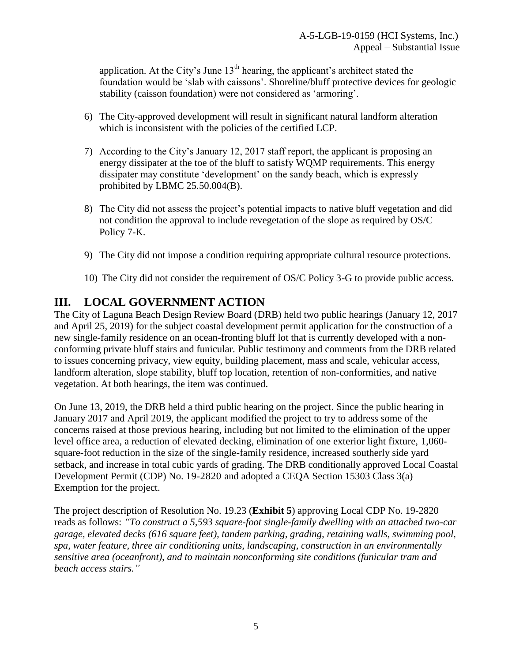application. At the City's June  $13<sup>th</sup>$  hearing, the applicant's architect stated the foundation would be 'slab with caissons'. Shoreline/bluff protective devices for geologic stability (caisson foundation) were not considered as 'armoring'.

- 6) The City-approved development will result in significant natural landform alteration which is inconsistent with the policies of the certified LCP.
- 7) According to the City's January 12, 2017 staff report, the applicant is proposing an energy dissipater at the toe of the bluff to satisfy WQMP requirements. This energy dissipater may constitute 'development' on the sandy beach, which is expressly prohibited by LBMC 25.50.004(B).
- 8) The City did not assess the project's potential impacts to native bluff vegetation and did not condition the approval to include revegetation of the slope as required by OS/C Policy 7-K.
- 9) The City did not impose a condition requiring appropriate cultural resource protections.
- 10) The City did not consider the requirement of OS/C Policy 3-G to provide public access.

# <span id="page-4-0"></span>**III. LOCAL GOVERNMENT ACTION**

The City of Laguna Beach Design Review Board (DRB) held two public hearings (January 12, 2017 and April 25, 2019) for the subject coastal development permit application for the construction of a new single-family residence on an ocean-fronting bluff lot that is currently developed with a nonconforming private bluff stairs and funicular. Public testimony and comments from the DRB related to issues concerning privacy, view equity, building placement, mass and scale, vehicular access, landform alteration, slope stability, bluff top location, retention of non-conformities, and native vegetation. At both hearings, the item was continued.

On June 13, 2019, the DRB held a third public hearing on the project. Since the public hearing in January 2017 and April 2019, the applicant modified the project to try to address some of the concerns raised at those previous hearing, including but not limited to the elimination of the upper level office area, a reduction of elevated decking, elimination of one exterior light fixture, 1,060 square-foot reduction in the size of the single-family residence, increased southerly side yard setback, and increase in total cubic yards of grading. The DRB conditionally approved Local Coastal Development Permit (CDP) No. 19-2820 and adopted a CEQA Section 15303 Class 3(a) Exemption for the project.

The project description of Resolution No. 19.23 (**[Exhibit 5](https://documents.coastal.ca.gov/reports/2019/9/W25b/W25b-9-2019-exhibits.pdf)**) approving Local CDP No. 19-2820 reads as follows: *"To construct a 5,593 square-foot single-family dwelling with an attached two-car garage, elevated decks (616 square feet), tandem parking, grading, retaining walls, swimming pool, spa, water feature, three air conditioning units, landscaping, construction in an environmentally sensitive area (oceanfront), and to maintain nonconforming site conditions (funicular tram and beach access stairs."*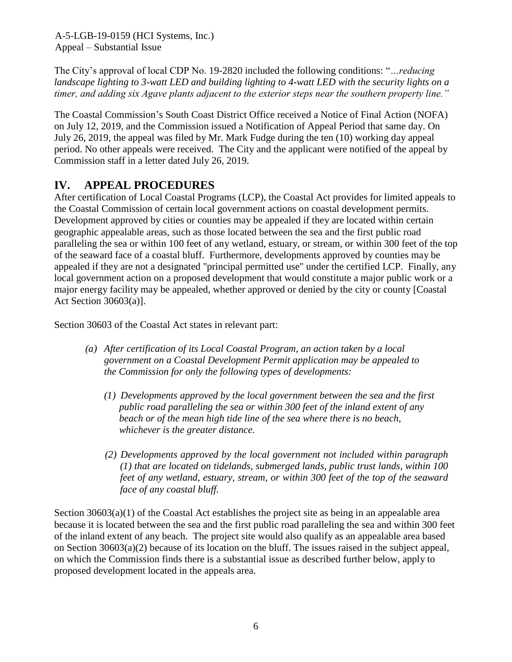The City's approval of local CDP No. 19-2820 included the following conditions: "*…reducing landscape lighting to 3-watt LED and building lighting to 4-watt LED with the security lights on a timer, and adding six Agave plants adjacent to the exterior steps near the southern property line."*

The Coastal Commission's South Coast District Office received a Notice of Final Action (NOFA) on July 12, 2019, and the Commission issued a Notification of Appeal Period that same day. On July 26, 2019, the appeal was filed by Mr. Mark Fudge during the ten (10) working day appeal period. No other appeals were received. The City and the applicant were notified of the appeal by Commission staff in a letter dated July 26, 2019.

# <span id="page-5-0"></span>**IV. APPEAL PROCEDURES**

After certification of Local Coastal Programs (LCP), the Coastal Act provides for limited appeals to the Coastal Commission of certain local government actions on coastal development permits. Development approved by cities or counties may be appealed if they are located within certain geographic appealable areas, such as those located between the sea and the first public road paralleling the sea or within 100 feet of any wetland, estuary, or stream, or within 300 feet of the top of the seaward face of a coastal bluff. Furthermore, developments approved by counties may be appealed if they are not a designated "principal permitted use" under the certified LCP. Finally, any local government action on a proposed development that would constitute a major public work or a major energy facility may be appealed, whether approved or denied by the city or county [Coastal Act Section 30603(a)].

Section 30603 of the Coastal Act states in relevant part:

- *(a) After certification of its Local Coastal Program, an action taken by a local government on a Coastal Development Permit application may be appealed to the Commission for only the following types of developments:*
	- *(1) Developments approved by the local government between the sea and the first public road paralleling the sea or within 300 feet of the inland extent of any beach or of the mean high tide line of the sea where there is no beach, whichever is the greater distance.*
	- *(2) Developments approved by the local government not included within paragraph (1) that are located on tidelands, submerged lands, public trust lands, within 100 feet of any wetland, estuary, stream, or within 300 feet of the top of the seaward face of any coastal bluff.*

Section  $30603(a)(1)$  of the Coastal Act establishes the project site as being in an appealable area because it is located between the sea and the first public road paralleling the sea and within 300 feet of the inland extent of any beach. The project site would also qualify as an appealable area based on Section 30603(a)(2) because of its location on the bluff. The issues raised in the subject appeal, on which the Commission finds there is a substantial issue as described further below, apply to proposed development located in the appeals area.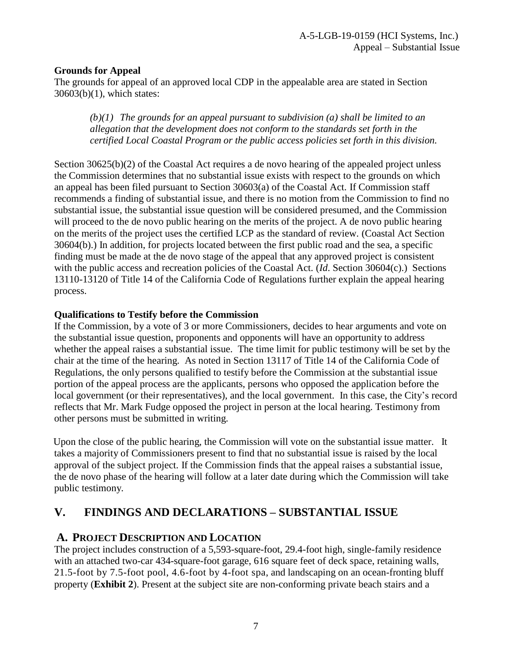## **Grounds for Appeal**

The grounds for appeal of an approved local CDP in the appealable area are stated in Section 30603(b)(1), which states:

*(b)(1) The grounds for an appeal pursuant to subdivision (a) shall be limited to an allegation that the development does not conform to the standards set forth in the certified Local Coastal Program or the public access policies set forth in this division.*

Section  $30625(b)(2)$  of the Coastal Act requires a de novo hearing of the appealed project unless the Commission determines that no substantial issue exists with respect to the grounds on which an appeal has been filed pursuant to Section 30603(a) of the Coastal Act. If Commission staff recommends a finding of substantial issue, and there is no motion from the Commission to find no substantial issue, the substantial issue question will be considered presumed, and the Commission will proceed to the de novo public hearing on the merits of the project. A de novo public hearing on the merits of the project uses the certified LCP as the standard of review. (Coastal Act Section 30604(b).) In addition, for projects located between the first public road and the sea, a specific finding must be made at the de novo stage of the appeal that any approved project is consistent with the public access and recreation policies of the Coastal Act. (*Id*. Section 30604(c).) Sections 13110-13120 of Title 14 of the California Code of Regulations further explain the appeal hearing process.

#### **Qualifications to Testify before the Commission**

If the Commission, by a vote of 3 or more Commissioners, decides to hear arguments and vote on the substantial issue question, proponents and opponents will have an opportunity to address whether the appeal raises a substantial issue. The time limit for public testimony will be set by the chair at the time of the hearing. As noted in Section 13117 of Title 14 of the California Code of Regulations, the only persons qualified to testify before the Commission at the substantial issue portion of the appeal process are the applicants, persons who opposed the application before the local government (or their representatives), and the local government. In this case, the City's record reflects that Mr. Mark Fudge opposed the project in person at the local hearing. Testimony from other persons must be submitted in writing.

Upon the close of the public hearing, the Commission will vote on the substantial issue matter. It takes a majority of Commissioners present to find that no substantial issue is raised by the local approval of the subject project. If the Commission finds that the appeal raises a substantial issue, the de novo phase of the hearing will follow at a later date during which the Commission will take public testimony.

# <span id="page-6-0"></span>**V. FINDINGS AND DECLARATIONS – SUBSTANTIAL ISSUE**

## <span id="page-6-1"></span>**A. PROJECT DESCRIPTION AND LOCATION**

The project includes construction of a 5,593-square-foot, 29.4-foot high, single-family residence with an attached two-car 434-square-foot garage, 616 square feet of deck space, retaining walls, 21.5-foot by 7.5-foot pool, 4.6-foot by 4-foot spa, and landscaping on an ocean-fronting bluff property (**[Exhibit 2](https://documents.coastal.ca.gov/reports/2019/9/W25b/W25b-9-2019-exhibits.pdf)**). Present at the subject site are non-conforming private beach stairs and a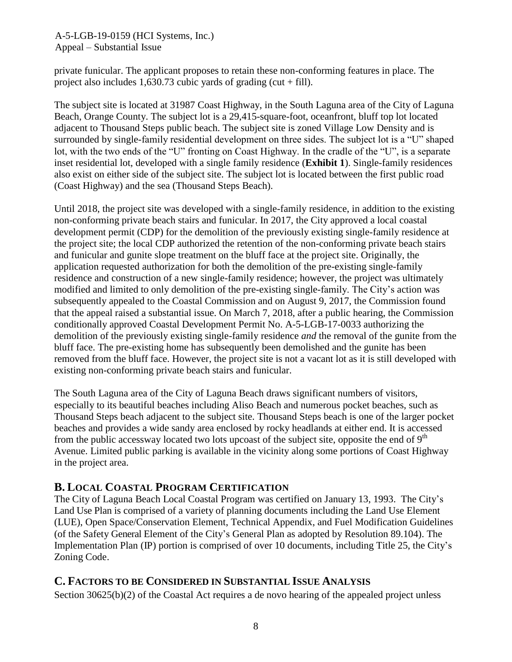private funicular. The applicant proposes to retain these non-conforming features in place. The project also includes  $1,630.73$  cubic yards of grading (cut + fill).

The subject site is located at 31987 Coast Highway, in the South Laguna area of the City of Laguna Beach, Orange County. The subject lot is a 29,415-square-foot, oceanfront, bluff top lot located adjacent to Thousand Steps public beach. The subject site is zoned Village Low Density and is surrounded by single-family residential development on three sides. The subject lot is a "U" shaped lot, with the two ends of the "U" fronting on Coast Highway. In the cradle of the "U", is a separate inset residential lot, developed with a single family residence (**[Exhibit 1](https://documents.coastal.ca.gov/reports/2019/9/W25b/W25b-9-2019-exhibits.pdf)**). Single-family residences also exist on either side of the subject site. The subject lot is located between the first public road (Coast Highway) and the sea (Thousand Steps Beach).

Until 2018, the project site was developed with a single-family residence, in addition to the existing non-conforming private beach stairs and funicular. In 2017, the City approved a local coastal development permit (CDP) for the demolition of the previously existing single-family residence at the project site; the local CDP authorized the retention of the non-conforming private beach stairs and funicular and gunite slope treatment on the bluff face at the project site. Originally, the application requested authorization for both the demolition of the pre-existing single-family residence and construction of a new single-family residence; however, the project was ultimately modified and limited to only demolition of the pre-existing single-family. The City's action was subsequently appealed to the Coastal Commission and on August 9, 2017, the Commission found that the appeal raised a substantial issue. On March 7, 2018, after a public hearing, the Commission conditionally approved Coastal Development Permit No. A-5-LGB-17-0033 authorizing the demolition of the previously existing single-family residence *and* the removal of the gunite from the bluff face. The pre-existing home has subsequently been demolished and the gunite has been removed from the bluff face. However, the project site is not a vacant lot as it is still developed with existing non-conforming private beach stairs and funicular.

The South Laguna area of the City of Laguna Beach draws significant numbers of visitors, especially to its beautiful beaches including Aliso Beach and numerous pocket beaches, such as Thousand Steps beach adjacent to the subject site. Thousand Steps beach is one of the larger pocket beaches and provides a wide sandy area enclosed by rocky headlands at either end. It is accessed from the public accessway located two lots upcoast of the subject site, opposite the end of  $9<sup>th</sup>$ Avenue. Limited public parking is available in the vicinity along some portions of Coast Highway in the project area.

## <span id="page-7-0"></span>**B. LOCAL COASTAL PROGRAM CERTIFICATION**

The City of Laguna Beach Local Coastal Program was certified on January 13, 1993. The City's Land Use Plan is comprised of a variety of planning documents including the Land Use Element (LUE), Open Space/Conservation Element, Technical Appendix, and Fuel Modification Guidelines (of the Safety General Element of the City's General Plan as adopted by Resolution 89.104). The Implementation Plan (IP) portion is comprised of over 10 documents, including Title 25, the City's Zoning Code.

## <span id="page-7-1"></span>**C. FACTORS TO BE CONSIDERED IN SUBSTANTIAL ISSUE ANALYSIS**

Section 30625(b)(2) of the Coastal Act requires a de novo hearing of the appealed project unless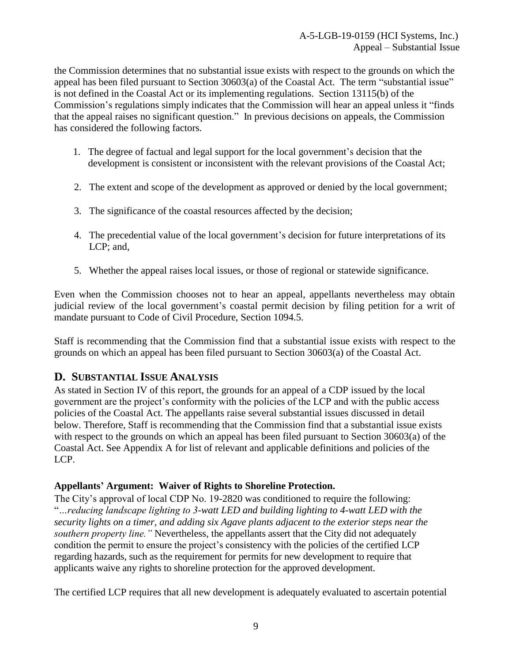the Commission determines that no substantial issue exists with respect to the grounds on which the appeal has been filed pursuant to Section 30603(a) of the Coastal Act. The term "substantial issue" is not defined in the Coastal Act or its implementing regulations. Section 13115(b) of the Commission's regulations simply indicates that the Commission will hear an appeal unless it "finds that the appeal raises no significant question." In previous decisions on appeals, the Commission has considered the following factors.

- 1. The degree of factual and legal support for the local government's decision that the development is consistent or inconsistent with the relevant provisions of the Coastal Act;
- 2. The extent and scope of the development as approved or denied by the local government;
- 3. The significance of the coastal resources affected by the decision;
- 4. The precedential value of the local government's decision for future interpretations of its LCP; and,
- 5. Whether the appeal raises local issues, or those of regional or statewide significance.

Even when the Commission chooses not to hear an appeal, appellants nevertheless may obtain judicial review of the local government's coastal permit decision by filing petition for a writ of mandate pursuant to Code of Civil Procedure, Section 1094.5.

Staff is recommending that the Commission find that a substantial issue exists with respect to the grounds on which an appeal has been filed pursuant to Section 30603(a) of the Coastal Act.

## <span id="page-8-0"></span>**D. SUBSTANTIAL ISSUE ANALYSIS**

As stated in Section IV of this report, the grounds for an appeal of a CDP issued by the local government are the project's conformity with the policies of the LCP and with the public access policies of the Coastal Act. The appellants raise several substantial issues discussed in detail below. Therefore, Staff is recommending that the Commission find that a substantial issue exists with respect to the grounds on which an appeal has been filed pursuant to Section 30603(a) of the Coastal Act. See Appendix A for list of relevant and applicable definitions and policies of the LCP.

## **Appellants' Argument: Waiver of Rights to Shoreline Protection.**

The City's approval of local CDP No. 19-2820 was conditioned to require the following: "*…reducing landscape lighting to 3-watt LED and building lighting to 4-watt LED with the security lights on a timer, and adding six Agave plants adjacent to the exterior steps near the southern property line."* Nevertheless, the appellants assert that the City did not adequately condition the permit to ensure the project's consistency with the policies of the certified LCP regarding hazards, such as the requirement for permits for new development to require that applicants waive any rights to shoreline protection for the approved development.

The certified LCP requires that all new development is adequately evaluated to ascertain potential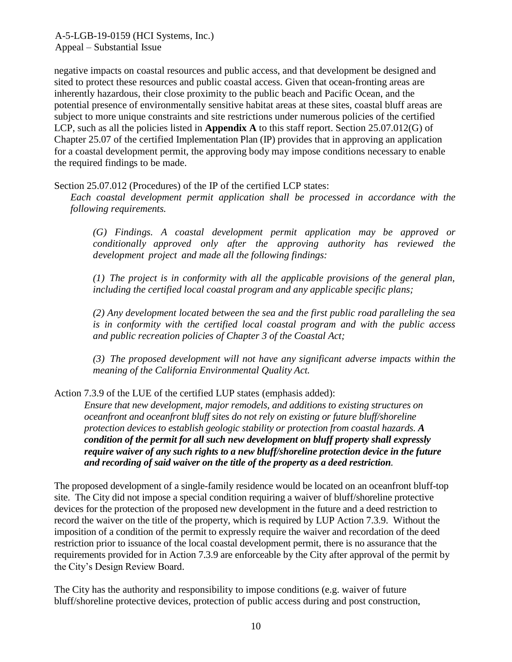negative impacts on coastal resources and public access, and that development be designed and sited to protect these resources and public coastal access. Given that ocean-fronting areas are inherently hazardous, their close proximity to the public beach and Pacific Ocean, and the potential presence of environmentally sensitive habitat areas at these sites, coastal bluff areas are subject to more unique constraints and site restrictions under numerous policies of the certified LCP, such as all the policies listed in **Appendix A** to this staff report. Section 25.07.012(G) of Chapter 25.07 of the certified Implementation Plan (IP) provides that in approving an application for a coastal development permit, the approving body may impose conditions necessary to enable the required findings to be made.

Section 25.07.012 (Procedures) of the IP of the certified LCP states:

*Each coastal development permit application shall be processed in accordance with the following requirements.*

*(G) Findings. A coastal development permit application may be approved or conditionally approved only after the approving authority has reviewed the development project and made all the following findings:*

*(1) The project is in conformity with all the applicable provisions of the general plan, including the certified local coastal program and any applicable specific plans;*

*(2) Any development located between the sea and the first public road paralleling the sea is in conformity with the certified local coastal program and with the public access and public recreation policies of Chapter 3 of the Coastal Act;*

*(3) The proposed development will not have any significant adverse impacts within the meaning of the California Environmental Quality Act.*

Action 7.3.9 of the LUE of the certified LUP states (emphasis added):

*Ensure that new development, major remodels, and additions to existing structures on oceanfront and oceanfront bluff sites do not rely on existing or future bluff/shoreline protection devices to establish geologic stability or protection from coastal hazards. A condition of the permit for all such new development on bluff property shall expressly require waiver of any such rights to a new bluff/shoreline protection device in the future and recording of said waiver on the title of the property as a deed restriction.*

The proposed development of a single-family residence would be located on an oceanfront bluff-top site. The City did not impose a special condition requiring a waiver of bluff/shoreline protective devices for the protection of the proposed new development in the future and a deed restriction to record the waiver on the title of the property, which is required by LUP Action 7.3.9. Without the imposition of a condition of the permit to expressly require the waiver and recordation of the deed restriction prior to issuance of the local coastal development permit, there is no assurance that the requirements provided for in Action 7.3.9 are enforceable by the City after approval of the permit by the City's Design Review Board.

The City has the authority and responsibility to impose conditions (e.g. waiver of future bluff/shoreline protective devices, protection of public access during and post construction,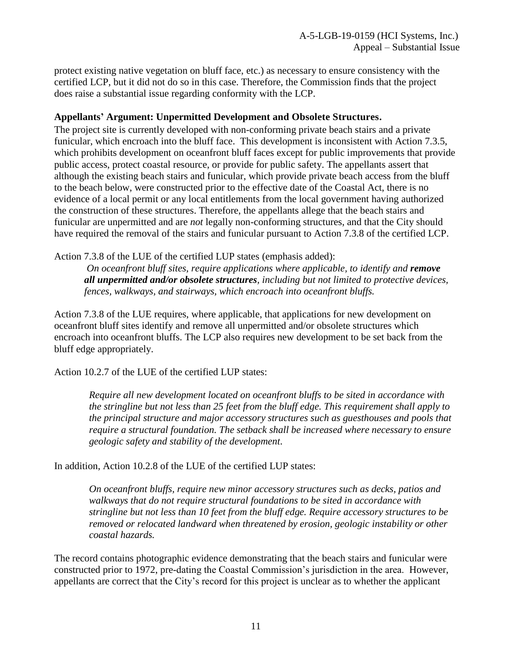protect existing native vegetation on bluff face, etc.) as necessary to ensure consistency with the certified LCP, but it did not do so in this case. Therefore, the Commission finds that the project does raise a substantial issue regarding conformity with the LCP.

### **Appellants' Argument: Unpermitted Development and Obsolete Structures.**

The project site is currently developed with non-conforming private beach stairs and a private funicular, which encroach into the bluff face. This development is inconsistent with Action 7.3.5, which prohibits development on oceanfront bluff faces except for public improvements that provide public access, protect coastal resource, or provide for public safety. The appellants assert that although the existing beach stairs and funicular, which provide private beach access from the bluff to the beach below, were constructed prior to the effective date of the Coastal Act, there is no evidence of a local permit or any local entitlements from the local government having authorized the construction of these structures. Therefore, the appellants allege that the beach stairs and funicular are unpermitted and are *not* legally non-conforming structures, and that the City should have required the removal of the stairs and funicular pursuant to Action 7.3.8 of the certified LCP.

Action 7.3.8 of the LUE of the certified LUP states (emphasis added):

*On oceanfront bluff sites, require applications where applicable, to identify and <i>remove all unpermitted and/or obsolete structures, including but not limited to protective devices, fences, walkways, and stairways, which encroach into oceanfront bluffs.*

Action 7.3.8 of the LUE requires, where applicable, that applications for new development on oceanfront bluff sites identify and remove all unpermitted and/or obsolete structures which encroach into oceanfront bluffs. The LCP also requires new development to be set back from the bluff edge appropriately.

Action 10.2.7 of the LUE of the certified LUP states:

*Require all new development located on oceanfront bluffs to be sited in accordance with the stringline but not less than 25 feet from the bluff edge. This requirement shall apply to the principal structure and major accessory structures such as guesthouses and pools that require a structural foundation. The setback shall be increased where necessary to ensure geologic safety and stability of the development.*

In addition, Action 10.2.8 of the LUE of the certified LUP states:

*On oceanfront bluffs, require new minor accessory structures such as decks, patios and walkways that do not require structural foundations to be sited in accordance with stringline but not less than 10 feet from the bluff edge. Require accessory structures to be removed or relocated landward when threatened by erosion, geologic instability or other coastal hazards.*

The record contains photographic evidence demonstrating that the beach stairs and funicular were constructed prior to 1972, pre-dating the Coastal Commission's jurisdiction in the area. However, appellants are correct that the City's record for this project is unclear as to whether the applicant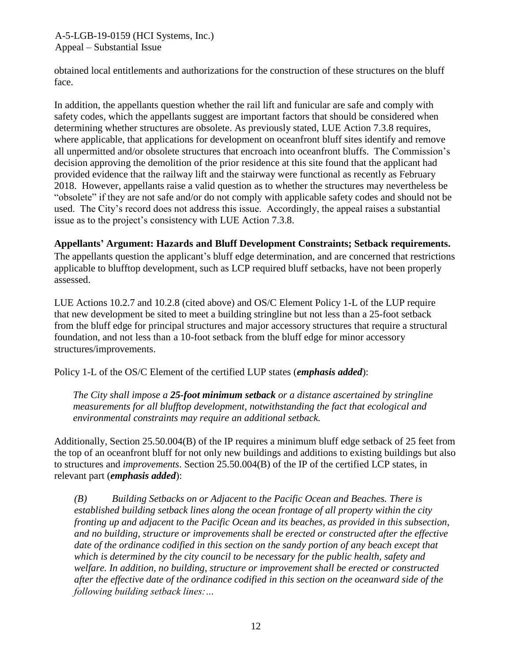obtained local entitlements and authorizations for the construction of these structures on the bluff face.

In addition, the appellants question whether the rail lift and funicular are safe and comply with safety codes, which the appellants suggest are important factors that should be considered when determining whether structures are obsolete. As previously stated, LUE Action 7.3.8 requires, where applicable, that applications for development on oceanfront bluff sites identify and remove all unpermitted and/or obsolete structures that encroach into oceanfront bluffs. The Commission's decision approving the demolition of the prior residence at this site found that the applicant had provided evidence that the railway lift and the stairway were functional as recently as February 2018. However, appellants raise a valid question as to whether the structures may nevertheless be "obsolete" if they are not safe and/or do not comply with applicable safety codes and should not be used. The City's record does not address this issue. Accordingly, the appeal raises a substantial issue as to the project's consistency with LUE Action 7.3.8.

## **Appellants' Argument: Hazards and Bluff Development Constraints; Setback requirements.**

The appellants question the applicant's bluff edge determination, and are concerned that restrictions applicable to blufftop development, such as LCP required bluff setbacks, have not been properly assessed.

LUE Actions 10.2.7 and 10.2.8 (cited above) and OS/C Element Policy 1-L of the LUP require that new development be sited to meet a building stringline but not less than a 25-foot setback from the bluff edge for principal structures and major accessory structures that require a structural foundation, and not less than a 10-foot setback from the bluff edge for minor accessory structures/improvements.

Policy 1-L of the OS/C Element of the certified LUP states (*emphasis added*):

*The City shall impose a 25-foot minimum setback or a distance ascertained by stringline measurements for all blufftop development, notwithstanding the fact that ecological and environmental constraints may require an additional setback.*

Additionally, Section 25.50.004(B) of the IP requires a minimum bluff edge setback of 25 feet from the top of an oceanfront bluff for not only new buildings and additions to existing buildings but also to structures and *improvements*. Section 25.50.004(B) of the IP of the certified LCP states, in relevant part (*emphasis added*):

*(B) Building Setbacks on or Adjacent to the Pacific Ocean and Beaches. There is established building setback lines along the ocean frontage of all property within the city fronting up and adjacent to the Pacific Ocean and its beaches, as provided in this subsection, and no building, structure or improvements shall be erected or constructed after the effective date of the ordinance codified in this section on the sandy portion of any beach except that which is determined by the city council to be necessary for the public health, safety and welfare. In addition, no building, structure or improvement shall be erected or constructed after the effective date of the ordinance codified in this section on the oceanward side of the following building setback lines:…*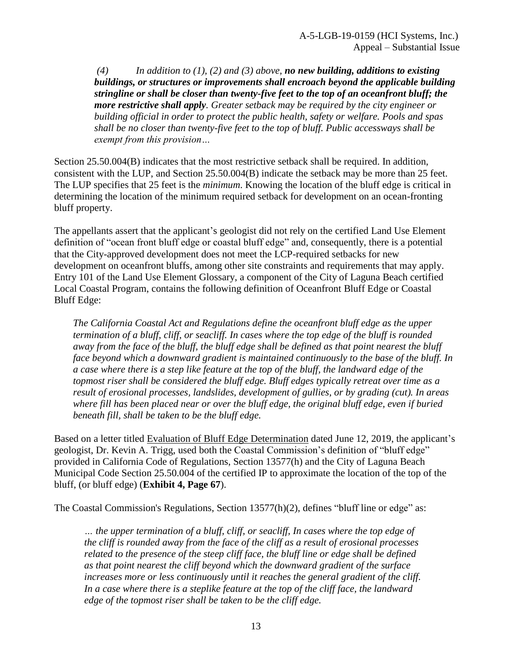*(4) In addition to (1), (2) and (3) above, no new building, additions to existing buildings, or structures or improvements shall encroach beyond the applicable building stringline or shall be closer than twenty-five feet to the top of an oceanfront bluff; the more restrictive shall apply. Greater setback may be required by the city engineer or building official in order to protect the public health, safety or welfare. Pools and spas shall be no closer than twenty-five feet to the top of bluff. Public accessways shall be exempt from this provision…*

Section 25.50.004(B) indicates that the most restrictive setback shall be required. In addition, consistent with the LUP, and Section 25.50.004(B) indicate the setback may be more than 25 feet. The LUP specifies that 25 feet is the *minimum*. Knowing the location of the bluff edge is critical in determining the location of the minimum required setback for development on an ocean-fronting bluff property.

The appellants assert that the applicant's geologist did not rely on the certified Land Use Element definition of "ocean front bluff edge or coastal bluff edge" and, consequently, there is a potential that the City-approved development does not meet the LCP-required setbacks for new development on oceanfront bluffs, among other site constraints and requirements that may apply. Entry 101 of the Land Use Element Glossary, a component of the City of Laguna Beach certified Local Coastal Program, contains the following definition of Oceanfront Bluff Edge or Coastal Bluff Edge:

*The California Coastal Act and Regulations define the oceanfront bluff edge as the upper termination of a bluff, cliff, or seacliff. In cases where the top edge of the bluff is rounded away from the face of the bluff, the bluff edge shall be defined as that point nearest the bluff face beyond which a downward gradient is maintained continuously to the base of the bluff. In a case where there is a step like feature at the top of the bluff, the landward edge of the topmost riser shall be considered the bluff edge. Bluff edges typically retreat over time as a result of erosional processes, landslides, development of gullies, or by grading (cut). In areas where fill has been placed near or over the bluff edge, the original bluff edge, even if buried beneath fill, shall be taken to be the bluff edge.*

Based on a letter titled Evaluation of Bluff Edge Determination dated June 12, 2019, the applicant's geologist, Dr. Kevin A. Trigg, used both the Coastal Commission's definition of "bluff edge" provided in California Code of Regulations, Section 13577(h) and the City of Laguna Beach Municipal Code Section 25.50.004 of the certified IP to approximate the location of the top of the bluff, (or bluff edge) (**[Exhibit 4, Page 67](https://documents.coastal.ca.gov/reports/2019/9/W25b/W25b-9-2019-exhibits.pdf)**).

The Coastal Commission's Regulations, Section 13577(h)(2), defines "bluff line or edge" as:

*… the upper termination of a bluff, cliff, or seacliff, In cases where the top edge of the cliff is rounded away from the face of the cliff as a result of erosional processes related to the presence of the steep cliff face, the bluff line or edge shall be defined as that point nearest the cliff beyond which the downward gradient of the surface increases more or less continuously until it reaches the general gradient of the cliff. In a case where there is a steplike feature at the top of the cliff face, the landward edge of the topmost riser shall be taken to be the cliff edge.*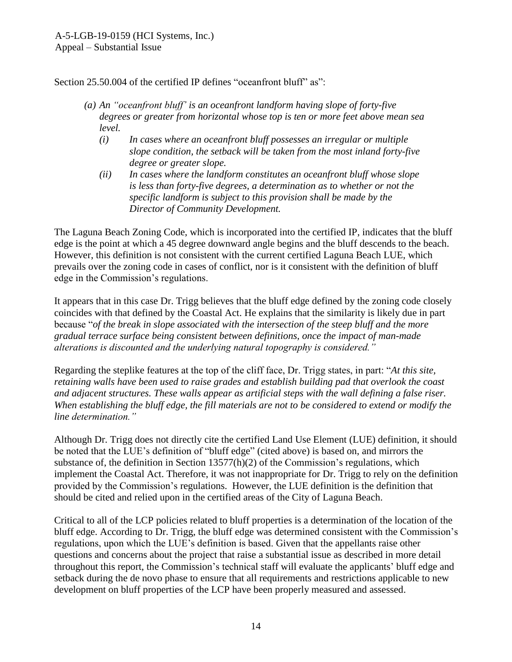Section 25.50.004 of the certified IP defines "oceanfront bluff" as":

- *(a) An "oceanfront bluff' is an oceanfront landform having slope of forty-five degrees or greater from horizontal whose top is ten or more feet above mean sea level.*
	- *(i) In cases where an oceanfront bluff possesses an irregular or multiple slope condition, the setback will be taken from the most inland forty-five degree or greater slope.*
	- *(ii) In cases where the landform constitutes an oceanfront bluff whose slope is less than forty-five degrees, a determination as to whether or not the specific landform is subject to this provision shall be made by the Director of Community Development.*

The Laguna Beach Zoning Code, which is incorporated into the certified IP, indicates that the bluff edge is the point at which a 45 degree downward angle begins and the bluff descends to the beach. However, this definition is not consistent with the current certified Laguna Beach LUE, which prevails over the zoning code in cases of conflict, nor is it consistent with the definition of bluff edge in the Commission's regulations.

It appears that in this case Dr. Trigg believes that the bluff edge defined by the zoning code closely coincides with that defined by the Coastal Act. He explains that the similarity is likely due in part because "*of the break in slope associated with the intersection of the steep bluff and the more gradual terrace surface being consistent between definitions, once the impact of man-made alterations is discounted and the underlying natural topography is considered."* 

Regarding the steplike features at the top of the cliff face, Dr. Trigg states, in part: "*At this site, retaining walls have been used to raise grades and establish building pad that overlook the coast and adjacent structures. These walls appear as artificial steps with the wall defining a false riser. When establishing the bluff edge, the fill materials are not to be considered to extend or modify the line determination."*

Although Dr. Trigg does not directly cite the certified Land Use Element (LUE) definition, it should be noted that the LUE's definition of "bluff edge" (cited above) is based on, and mirrors the substance of, the definition in Section 13577(h)(2) of the Commission's regulations, which implement the Coastal Act. Therefore, it was not inappropriate for Dr. Trigg to rely on the definition provided by the Commission's regulations. However, the LUE definition is the definition that should be cited and relied upon in the certified areas of the City of Laguna Beach.

Critical to all of the LCP policies related to bluff properties is a determination of the location of the bluff edge. According to Dr. Trigg, the bluff edge was determined consistent with the Commission's regulations, upon which the LUE's definition is based. Given that the appellants raise other questions and concerns about the project that raise a substantial issue as described in more detail throughout this report, the Commission's technical staff will evaluate the applicants' bluff edge and setback during the de novo phase to ensure that all requirements and restrictions applicable to new development on bluff properties of the LCP have been properly measured and assessed.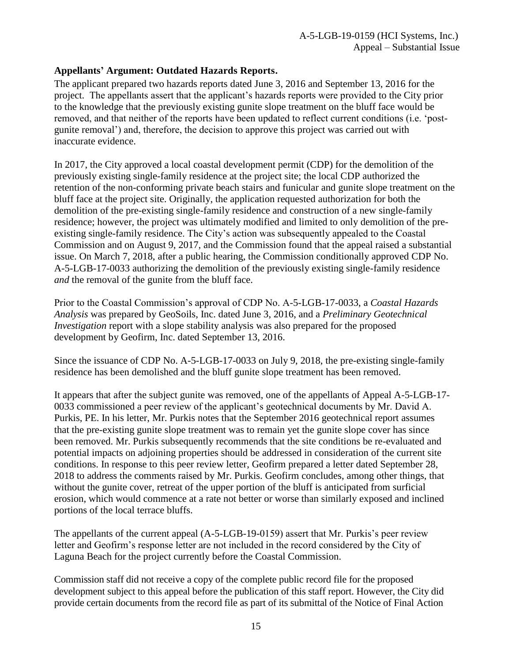## **Appellants' Argument: Outdated Hazards Reports.**

The applicant prepared two hazards reports dated June 3, 2016 and September 13, 2016 for the project. The appellants assert that the applicant's hazards reports were provided to the City prior to the knowledge that the previously existing gunite slope treatment on the bluff face would be removed, and that neither of the reports have been updated to reflect current conditions (i.e. 'postgunite removal') and, therefore, the decision to approve this project was carried out with inaccurate evidence.

In 2017, the City approved a local coastal development permit (CDP) for the demolition of the previously existing single-family residence at the project site; the local CDP authorized the retention of the non-conforming private beach stairs and funicular and gunite slope treatment on the bluff face at the project site. Originally, the application requested authorization for both the demolition of the pre-existing single-family residence and construction of a new single-family residence; however, the project was ultimately modified and limited to only demolition of the preexisting single-family residence. The City's action was subsequently appealed to the Coastal Commission and on August 9, 2017, and the Commission found that the appeal raised a substantial issue. On March 7, 2018, after a public hearing, the Commission conditionally approved CDP No. A-5-LGB-17-0033 authorizing the demolition of the previously existing single-family residence *and* the removal of the gunite from the bluff face.

Prior to the Coastal Commission's approval of CDP No. A-5-LGB-17-0033, a *Coastal Hazards Analysis* was prepared by GeoSoils, Inc. dated June 3, 2016, and a *Preliminary Geotechnical Investigation* report with a slope stability analysis was also prepared for the proposed development by Geofirm, Inc. dated September 13, 2016.

Since the issuance of CDP No. A-5-LGB-17-0033 on July 9, 2018, the pre-existing single-family residence has been demolished and the bluff gunite slope treatment has been removed.

It appears that after the subject gunite was removed, one of the appellants of Appeal A-5-LGB-17- 0033 commissioned a peer review of the applicant's geotechnical documents by Mr. David A. Purkis, PE. In his letter, Mr. Purkis notes that the September 2016 geotechnical report assumes that the pre-existing gunite slope treatment was to remain yet the gunite slope cover has since been removed. Mr. Purkis subsequently recommends that the site conditions be re-evaluated and potential impacts on adjoining properties should be addressed in consideration of the current site conditions. In response to this peer review letter, Geofirm prepared a letter dated September 28, 2018 to address the comments raised by Mr. Purkis. Geofirm concludes, among other things, that without the gunite cover, retreat of the upper portion of the bluff is anticipated from surficial erosion, which would commence at a rate not better or worse than similarly exposed and inclined portions of the local terrace bluffs.

The appellants of the current appeal (A-5-LGB-19-0159) assert that Mr. Purkis's peer review letter and Geofirm's response letter are not included in the record considered by the City of Laguna Beach for the project currently before the Coastal Commission.

Commission staff did not receive a copy of the complete public record file for the proposed development subject to this appeal before the publication of this staff report. However, the City did provide certain documents from the record file as part of its submittal of the Notice of Final Action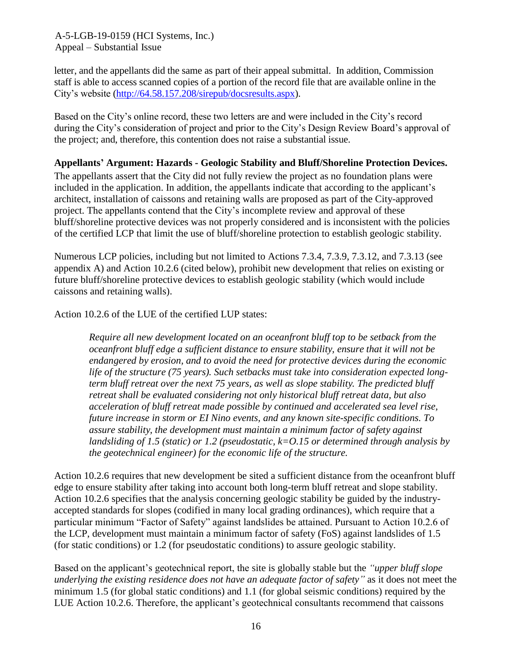letter, and the appellants did the same as part of their appeal submittal. In addition, Commission staff is able to access scanned copies of a portion of the record file that are available online in the City's website [\(http://64.58.157.208/sirepub/docsresults.aspx\)](http://64.58.157.208/sirepub/docsresults.aspx).

Based on the City's online record, these two letters are and were included in the City's record during the City's consideration of project and prior to the City's Design Review Board's approval of the project; and, therefore, this contention does not raise a substantial issue.

## **Appellants' Argument: Hazards - Geologic Stability and Bluff/Shoreline Protection Devices.**

The appellants assert that the City did not fully review the project as no foundation plans were included in the application. In addition, the appellants indicate that according to the applicant's architect, installation of caissons and retaining walls are proposed as part of the City-approved project. The appellants contend that the City's incomplete review and approval of these bluff/shoreline protective devices was not properly considered and is inconsistent with the policies of the certified LCP that limit the use of bluff/shoreline protection to establish geologic stability.

Numerous LCP policies, including but not limited to Actions 7.3.4, 7.3.9, 7.3.12, and 7.3.13 (see appendix A) and Action 10.2.6 (cited below), prohibit new development that relies on existing or future bluff/shoreline protective devices to establish geologic stability (which would include caissons and retaining walls).

Action 10.2.6 of the LUE of the certified LUP states:

*Require all new development located on an oceanfront bluff top to be setback from the oceanfront bluff edge a sufficient distance to ensure stability, ensure that it will not be endangered by erosion, and to avoid the need for protective devices during the economic life of the structure (75 years). Such setbacks must take into consideration expected longterm bluff retreat over the next 75 years, as well as slope stability. The predicted bluff retreat shall be evaluated considering not only historical bluff retreat data, but also acceleration of bluff retreat made possible by continued and accelerated sea level rise, future increase in storm or EI Nino events, and any known site-specific conditions. To assure stability, the development must maintain a minimum factor of safety against landsliding of 1.5 (static) or 1.2 (pseudostatic, k=O.15 or determined through analysis by the geotechnical engineer) for the economic life of the structure.*

Action 10.2.6 requires that new development be sited a sufficient distance from the oceanfront bluff edge to ensure stability after taking into account both long-term bluff retreat and slope stability. Action 10.2.6 specifies that the analysis concerning geologic stability be guided by the industryaccepted standards for slopes (codified in many local grading ordinances), which require that a particular minimum "Factor of Safety" against landslides be attained. Pursuant to Action 10.2.6 of the LCP, development must maintain a minimum factor of safety (FoS) against landslides of 1.5 (for static conditions) or 1.2 (for pseudostatic conditions) to assure geologic stability.

Based on the applicant's geotechnical report, the site is globally stable but the *"upper bluff slope underlying the existing residence does not have an adequate factor of safety"* as it does not meet the minimum 1.5 (for global static conditions) and 1.1 (for global seismic conditions) required by the LUE Action 10.2.6. Therefore, the applicant's geotechnical consultants recommend that caissons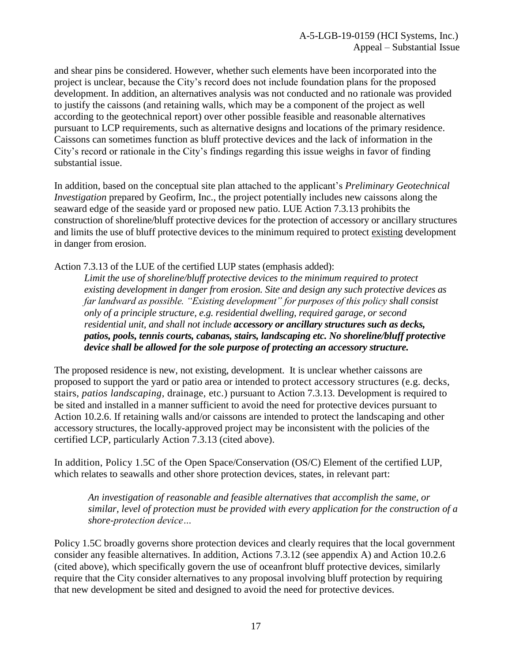and shear pins be considered. However, whether such elements have been incorporated into the project is unclear, because the City's record does not include foundation plans for the proposed development. In addition, an alternatives analysis was not conducted and no rationale was provided to justify the caissons (and retaining walls, which may be a component of the project as well according to the geotechnical report) over other possible feasible and reasonable alternatives pursuant to LCP requirements, such as alternative designs and locations of the primary residence. Caissons can sometimes function as bluff protective devices and the lack of information in the City's record or rationale in the City's findings regarding this issue weighs in favor of finding substantial issue.

In addition, based on the conceptual site plan attached to the applicant's *Preliminary Geotechnical Investigation* prepared by Geofirm, Inc., the project potentially includes new caissons along the seaward edge of the seaside yard or proposed new patio. LUE Action 7.3.13 prohibits the construction of shoreline/bluff protective devices for the protection of accessory or ancillary structures and limits the use of bluff protective devices to the minimum required to protect existing development in danger from erosion.

Action 7.3.13 of the LUE of the certified LUP states (emphasis added):

*Limit the use of shoreline/bluff protective devices to the minimum required to protect existing development in danger from erosion. Site and design any such protective devices as far landward as possible. "Existing development" for purposes of this policy shall consist only of a principle structure, e.g. residential dwelling, required garage, or second residential unit, and shall not include accessory or ancillary structures such as decks, patios, pools, tennis courts, cabanas, stairs, landscaping etc. No shoreline/bluff protective device shall be allowed for the sole purpose of protecting an accessory structure.*

The proposed residence is new, not existing, development. It is unclear whether caissons are proposed to support the yard or patio area or intended to protect accessory structures (e.g. decks, stairs, *patios landscaping*, drainage, etc.) pursuant to Action 7.3.13. Development is required to be sited and installed in a manner sufficient to avoid the need for protective devices pursuant to Action 10.2.6. If retaining walls and/or caissons are intended to protect the landscaping and other accessory structures, the locally-approved project may be inconsistent with the policies of the certified LCP, particularly Action 7.3.13 (cited above).

In addition, Policy 1.5C of the Open Space/Conservation (OS/C) Element of the certified LUP, which relates to seawalls and other shore protection devices, states, in relevant part:

*An investigation of reasonable and feasible alternatives that accomplish the same, or similar, level of protection must be provided with every application for the construction of a shore-protection device…*

Policy 1.5C broadly governs shore protection devices and clearly requires that the local government consider any feasible alternatives. In addition, Actions 7.3.12 (see appendix A) and Action 10.2.6 (cited above), which specifically govern the use of oceanfront bluff protective devices, similarly require that the City consider alternatives to any proposal involving bluff protection by requiring that new development be sited and designed to avoid the need for protective devices.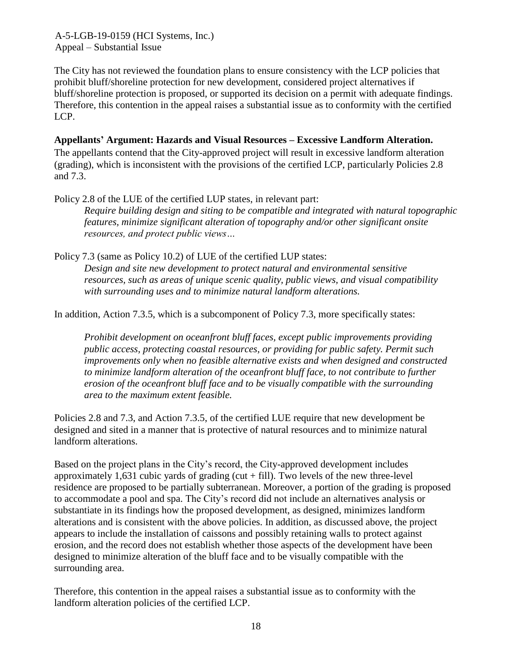The City has not reviewed the foundation plans to ensure consistency with the LCP policies that prohibit bluff/shoreline protection for new development, considered project alternatives if bluff/shoreline protection is proposed, or supported its decision on a permit with adequate findings. Therefore, this contention in the appeal raises a substantial issue as to conformity with the certified LCP.

### **Appellants' Argument: Hazards and Visual Resources – Excessive Landform Alteration.**

The appellants contend that the City-approved project will result in excessive landform alteration (grading), which is inconsistent with the provisions of the certified LCP, particularly Policies 2.8 and 7.3.

Policy 2.8 of the LUE of the certified LUP states, in relevant part: *Require building design and siting to be compatible and integrated with natural topographic features, minimize significant alteration of topography and/or other significant onsite resources, and protect public views…*

Policy 7.3 (same as Policy 10.2) of LUE of the certified LUP states: *Design and site new development to protect natural and environmental sensitive resources, such as areas of unique scenic quality, public views, and visual compatibility with surrounding uses and to minimize natural landform alterations.*

In addition, Action 7.3.5, which is a subcomponent of Policy 7.3, more specifically states:

*Prohibit development on oceanfront bluff faces, except public improvements providing public access, protecting coastal resources, or providing for public safety. Permit such improvements only when no feasible alternative exists and when designed and constructed to minimize landform alteration of the oceanfront bluff face, to not contribute to further erosion of the oceanfront bluff face and to be visually compatible with the surrounding area to the maximum extent feasible.* 

Policies 2.8 and 7.3, and Action 7.3.5, of the certified LUE require that new development be designed and sited in a manner that is protective of natural resources and to minimize natural landform alterations.

Based on the project plans in the City's record, the City-approved development includes approximately 1,631 cubic vards of grading (cut  $+$  fill). Two levels of the new three-level residence are proposed to be partially subterranean. Moreover, a portion of the grading is proposed to accommodate a pool and spa. The City's record did not include an alternatives analysis or substantiate in its findings how the proposed development, as designed, minimizes landform alterations and is consistent with the above policies. In addition, as discussed above, the project appears to include the installation of caissons and possibly retaining walls to protect against erosion, and the record does not establish whether those aspects of the development have been designed to minimize alteration of the bluff face and to be visually compatible with the surrounding area.

Therefore, this contention in the appeal raises a substantial issue as to conformity with the landform alteration policies of the certified LCP.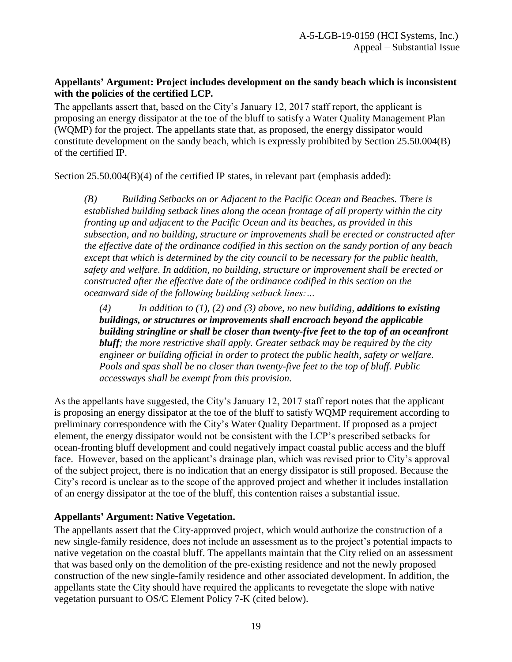## **Appellants' Argument: Project includes development on the sandy beach which is inconsistent with the policies of the certified LCP.**

The appellants assert that, based on the City's January 12, 2017 staff report, the applicant is proposing an energy dissipator at the toe of the bluff to satisfy a Water Quality Management Plan (WQMP) for the project. The appellants state that, as proposed, the energy dissipator would constitute development on the sandy beach, which is expressly prohibited by Section 25.50.004(B) of the certified IP.

Section 25.50.004(B)(4) of the certified IP states, in relevant part (emphasis added):

*(B) Building Setbacks on or Adjacent to the Pacific Ocean and Beaches. There is established building setback lines along the ocean frontage of all property within the city fronting up and adjacent to the Pacific Ocean and its beaches, as provided in this subsection, and no building, structure or improvements shall be erected or constructed after the effective date of the ordinance codified in this section on the sandy portion of any beach except that which is determined by the city council to be necessary for the public health, safety and welfare. In addition, no building, structure or improvement shall be erected or constructed after the effective date of the ordinance codified in this section on the oceanward side of the following building setback lines:…*

*(4) In addition to (1), (2) and (3) above, no new building, additions to existing buildings, or structures or improvements shall encroach beyond the applicable building stringline or shall be closer than twenty-five feet to the top of an oceanfront bluff; the more restrictive shall apply. Greater setback may be required by the city engineer or building official in order to protect the public health, safety or welfare. Pools and spas shall be no closer than twenty-five feet to the top of bluff. Public accessways shall be exempt from this provision.*

As the appellants have suggested, the City's January 12, 2017 staff report notes that the applicant is proposing an energy dissipator at the toe of the bluff to satisfy WQMP requirement according to preliminary correspondence with the City's Water Quality Department. If proposed as a project element, the energy dissipator would not be consistent with the LCP's prescribed setbacks for ocean-fronting bluff development and could negatively impact coastal public access and the bluff face. However, based on the applicant's drainage plan, which was revised prior to City's approval of the subject project, there is no indication that an energy dissipator is still proposed. Because the City's record is unclear as to the scope of the approved project and whether it includes installation of an energy dissipator at the toe of the bluff, this contention raises a substantial issue.

## **Appellants' Argument: Native Vegetation.**

The appellants assert that the City-approved project, which would authorize the construction of a new single-family residence, does not include an assessment as to the project's potential impacts to native vegetation on the coastal bluff. The appellants maintain that the City relied on an assessment that was based only on the demolition of the pre-existing residence and not the newly proposed construction of the new single-family residence and other associated development. In addition, the appellants state the City should have required the applicants to revegetate the slope with native vegetation pursuant to OS/C Element Policy 7-K (cited below).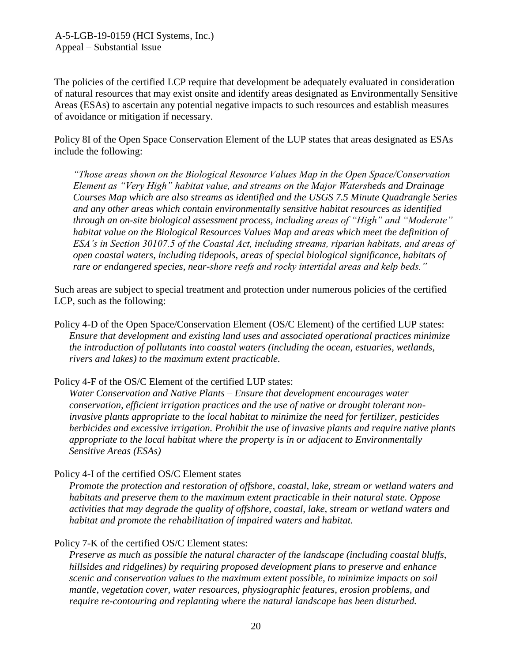The policies of the certified LCP require that development be adequately evaluated in consideration of natural resources that may exist onsite and identify areas designated as Environmentally Sensitive Areas (ESAs) to ascertain any potential negative impacts to such resources and establish measures of avoidance or mitigation if necessary.

Policy 8I of the Open Space Conservation Element of the LUP states that areas designated as ESAs include the following:

*"Those areas shown on the Biological Resource Values Map in the Open Space/Conservation Element as "Very High" habitat value, and streams on the Major Watersheds and Drainage Courses Map which are also streams as identified and the USGS 7.5 Minute Quadrangle Series and any other areas which contain environmentally sensitive habitat resources as identified through an on-site biological assessment process, including areas of "High" and "Moderate" habitat value on the Biological Resources Values Map and areas which meet the definition of ESA's in Section 30107.5 of the Coastal Act, including streams, riparian habitats, and areas of open coastal waters, including tidepools, areas of special biological significance, habitats of rare or endangered species, near-shore reefs and rocky intertidal areas and kelp beds."* 

Such areas are subject to special treatment and protection under numerous policies of the certified LCP, such as the following:

Policy 4-D of the Open Space/Conservation Element (OS/C Element) of the certified LUP states: *Ensure that development and existing land uses and associated operational practices minimize the introduction of pollutants into coastal waters (including the ocean, estuaries, wetlands, rivers and lakes) to the maximum extent practicable.*

Policy 4-F of the OS/C Element of the certified LUP states:

*Water Conservation and Native Plants – Ensure that development encourages water conservation, efficient irrigation practices and the use of native or drought tolerant noninvasive plants appropriate to the local habitat to minimize the need for fertilizer, pesticides herbicides and excessive irrigation. Prohibit the use of invasive plants and require native plants appropriate to the local habitat where the property is in or adjacent to Environmentally Sensitive Areas (ESAs)*

Policy 4-I of the certified OS/C Element states

*Promote the protection and restoration of offshore, coastal, lake, stream or wetland waters and habitats and preserve them to the maximum extent practicable in their natural state. Oppose activities that may degrade the quality of offshore, coastal, lake, stream or wetland waters and habitat and promote the rehabilitation of impaired waters and habitat.*

## Policy 7-K of the certified OS/C Element states:

*Preserve as much as possible the natural character of the landscape (including coastal bluffs, hillsides and ridgelines) by requiring proposed development plans to preserve and enhance scenic and conservation values to the maximum extent possible, to minimize impacts on soil mantle, vegetation cover, water resources, physiographic features, erosion problems, and require re-contouring and replanting where the natural landscape has been disturbed.*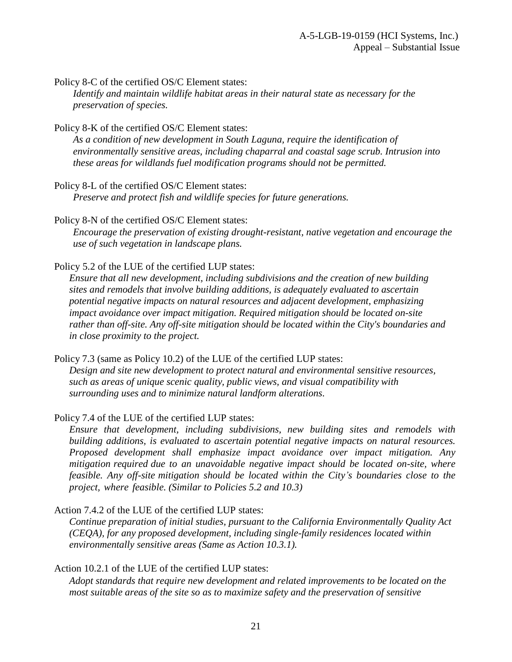Policy 8-C of the certified OS/C Element states:

*Identify and maintain wildlife habitat areas in their natural state as necessary for the preservation of species.*

Policy 8-K of the certified OS/C Element states:

*As a condition of new development in South Laguna, require the identification of environmentally sensitive areas, including chaparral and coastal sage scrub. Intrusion into these areas for wildlands fuel modification programs should not be permitted.*

Policy 8-L of the certified OS/C Element states:

*Preserve and protect fish and wildlife species for future generations.*

Policy 8-N of the certified OS/C Element states: *Encourage the preservation of existing drought-resistant, native vegetation and encourage the use of such vegetation in landscape plans.*

Policy 5.2 of the LUE of the certified LUP states:

*Ensure that all new development, including subdivisions and the creation of new building sites and remodels that involve building additions, is adequately evaluated to ascertain potential negative impacts on natural resources and adjacent development, emphasizing impact avoidance over impact mitigation. Required mitigation should be located on-site rather than off-site. Any off-site mitigation should be located within the City's boundaries and in close proximity to the project.*

Policy 7.3 (same as Policy 10.2) of the LUE of the certified LUP states: *Design and site new development to protect natural and environmental sensitive resources, such as areas of unique scenic quality, public views, and visual compatibility with surrounding uses and to minimize natural landform alterations.*

Policy 7.4 of the LUE of the certified LUP states:

*Ensure that development, including subdivisions, new building sites and remodels with building additions, is evaluated to ascertain potential negative impacts on natural resources. Proposed development shall emphasize impact avoidance over impact mitigation. Any mitigation required due to an unavoidable negative impact should be located on-site, where feasible. Any off-site mitigation should be located within the City's boundaries close to the project, where feasible. (Similar to Policies 5.2 and 10.3)*

Action 7.4.2 of the LUE of the certified LUP states:

*Continue preparation of initial studies, pursuant to the California Environmentally Quality Act (CEQA), for any proposed development, including single-family residences located within environmentally sensitive areas (Same as Action 10.3.1).*

Action 10.2.1 of the LUE of the certified LUP states:

*Adopt standards that require new development and related improvements to be located on the most suitable areas of the site so as to maximize safety and the preservation of sensitive*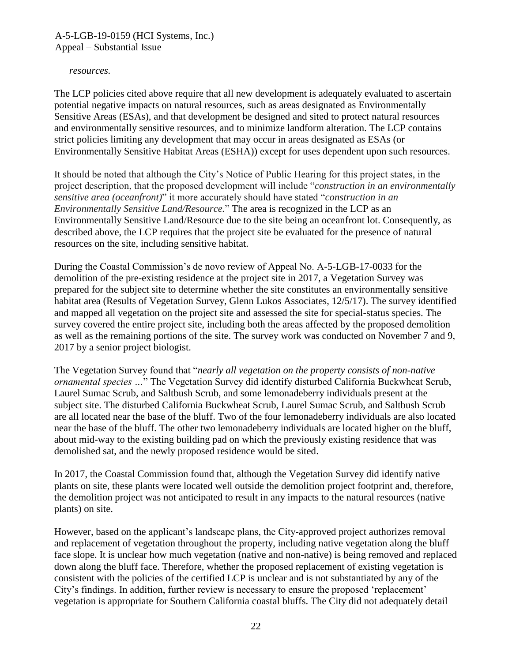#### *resources.*

The LCP policies cited above require that all new development is adequately evaluated to ascertain potential negative impacts on natural resources, such as areas designated as Environmentally Sensitive Areas (ESAs), and that development be designed and sited to protect natural resources and environmentally sensitive resources, and to minimize landform alteration. The LCP contains strict policies limiting any development that may occur in areas designated as ESAs (or Environmentally Sensitive Habitat Areas (ESHA)) except for uses dependent upon such resources.

It should be noted that although the City's Notice of Public Hearing for this project states, in the project description, that the proposed development will include "*construction in an environmentally sensitive area (oceanfront)*" it more accurately should have stated "*construction in an Environmentally Sensitive Land/Resource.*" The area is recognized in the LCP as an Environmentally Sensitive Land/Resource due to the site being an oceanfront lot. Consequently, as described above, the LCP requires that the project site be evaluated for the presence of natural resources on the site, including sensitive habitat.

During the Coastal Commission's de novo review of Appeal No. A-5-LGB-17-0033 for the demolition of the pre-existing residence at the project site in 2017, a Vegetation Survey was prepared for the subject site to determine whether the site constitutes an environmentally sensitive habitat area (Results of Vegetation Survey, Glenn Lukos Associates, 12/5/17). The survey identified and mapped all vegetation on the project site and assessed the site for special-status species. The survey covered the entire project site, including both the areas affected by the proposed demolition as well as the remaining portions of the site. The survey work was conducted on November 7 and 9, 2017 by a senior project biologist.

The Vegetation Survey found that "*nearly all vegetation on the property consists of non-native ornamental species …*" The Vegetation Survey did identify disturbed California Buckwheat Scrub, Laurel Sumac Scrub, and Saltbush Scrub, and some lemonadeberry individuals present at the subject site. The disturbed California Buckwheat Scrub, Laurel Sumac Scrub, and Saltbush Scrub are all located near the base of the bluff. Two of the four lemonadeberry individuals are also located near the base of the bluff. The other two lemonadeberry individuals are located higher on the bluff, about mid-way to the existing building pad on which the previously existing residence that was demolished sat, and the newly proposed residence would be sited.

In 2017, the Coastal Commission found that, although the Vegetation Survey did identify native plants on site, these plants were located well outside the demolition project footprint and, therefore, the demolition project was not anticipated to result in any impacts to the natural resources (native plants) on site.

However, based on the applicant's landscape plans, the City-approved project authorizes removal and replacement of vegetation throughout the property, including native vegetation along the bluff face slope. It is unclear how much vegetation (native and non-native) is being removed and replaced down along the bluff face. Therefore, whether the proposed replacement of existing vegetation is consistent with the policies of the certified LCP is unclear and is not substantiated by any of the City's findings. In addition, further review is necessary to ensure the proposed 'replacement' vegetation is appropriate for Southern California coastal bluffs. The City did not adequately detail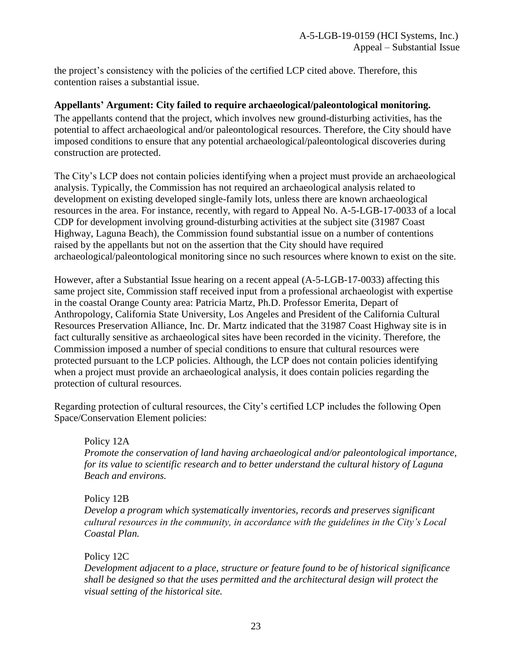the project's consistency with the policies of the certified LCP cited above. Therefore, this contention raises a substantial issue.

#### **Appellants' Argument: City failed to require archaeological/paleontological monitoring.**

The appellants contend that the project, which involves new ground-disturbing activities, has the potential to affect archaeological and/or paleontological resources. Therefore, the City should have imposed conditions to ensure that any potential archaeological/paleontological discoveries during construction are protected.

The City's LCP does not contain policies identifying when a project must provide an archaeological analysis. Typically, the Commission has not required an archaeological analysis related to development on existing developed single-family lots, unless there are known archaeological resources in the area. For instance, recently, with regard to Appeal No. A-5-LGB-17-0033 of a local CDP for development involving ground-disturbing activities at the subject site (31987 Coast Highway, Laguna Beach), the Commission found substantial issue on a number of contentions raised by the appellants but not on the assertion that the City should have required archaeological/paleontological monitoring since no such resources where known to exist on the site.

However, after a Substantial Issue hearing on a recent appeal (A-5-LGB-17-0033) affecting this same project site, Commission staff received input from a professional archaeologist with expertise in the coastal Orange County area: Patricia Martz, Ph.D. Professor Emerita, Depart of Anthropology, California State University, Los Angeles and President of the California Cultural Resources Preservation Alliance, Inc. Dr. Martz indicated that the 31987 Coast Highway site is in fact culturally sensitive as archaeological sites have been recorded in the vicinity. Therefore, the Commission imposed a number of special conditions to ensure that cultural resources were protected pursuant to the LCP policies. Although, the LCP does not contain policies identifying when a project must provide an archaeological analysis, it does contain policies regarding the protection of cultural resources.

Regarding protection of cultural resources, the City's certified LCP includes the following Open Space/Conservation Element policies:

Policy 12A *Promote the conservation of land having archaeological and/or paleontological importance, for its value to scientific research and to better understand the cultural history of Laguna Beach and environs.*

Policy 12B

*Develop a program which systematically inventories, records and preserves significant cultural resources in the community, in accordance with the guidelines in the City's Local Coastal Plan.*

Policy 12C

*Development adjacent to a place, structure or feature found to be of historical significance shall be designed so that the uses permitted and the architectural design will protect the visual setting of the historical site.*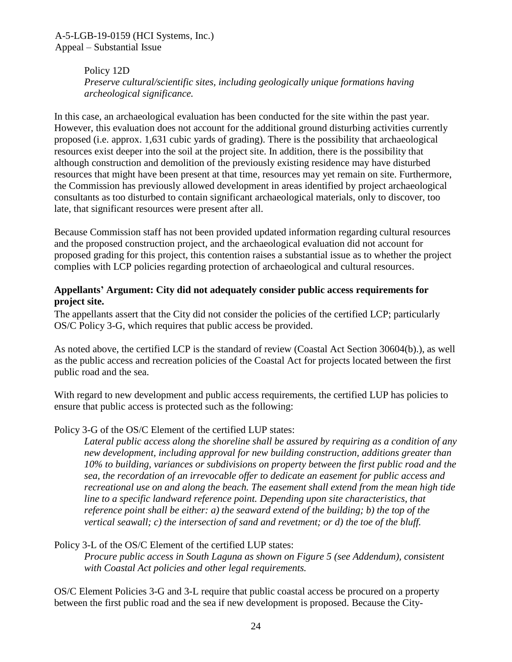> Policy 12D *Preserve cultural/scientific sites, including geologically unique formations having archeological significance.*

In this case, an archaeological evaluation has been conducted for the site within the past year. However, this evaluation does not account for the additional ground disturbing activities currently proposed (i.e. approx. 1,631 cubic yards of grading). There is the possibility that archaeological resources exist deeper into the soil at the project site. In addition, there is the possibility that although construction and demolition of the previously existing residence may have disturbed resources that might have been present at that time, resources may yet remain on site. Furthermore, the Commission has previously allowed development in areas identified by project archaeological consultants as too disturbed to contain significant archaeological materials, only to discover, too late, that significant resources were present after all.

Because Commission staff has not been provided updated information regarding cultural resources and the proposed construction project, and the archaeological evaluation did not account for proposed grading for this project, this contention raises a substantial issue as to whether the project complies with LCP policies regarding protection of archaeological and cultural resources.

#### **Appellants' Argument: City did not adequately consider public access requirements for project site.**

The appellants assert that the City did not consider the policies of the certified LCP; particularly OS/C Policy 3-G, which requires that public access be provided.

As noted above, the certified LCP is the standard of review (Coastal Act Section 30604(b).), as well as the public access and recreation policies of the Coastal Act for projects located between the first public road and the sea.

With regard to new development and public access requirements, the certified LUP has policies to ensure that public access is protected such as the following:

## Policy 3-G of the OS/C Element of the certified LUP states:

*Lateral public access along the shoreline shall be assured by requiring as a condition of any new development, including approval for new building construction, additions greater than 10% to building, variances or subdivisions on property between the first public road and the sea, the recordation of an irrevocable offer to dedicate an easement for public access and recreational use on and along the beach. The easement shall extend from the mean high tide line to a specific landward reference point. Depending upon site characteristics, that reference point shall be either: a) the seaward extend of the building; b) the top of the vertical seawall; c) the intersection of sand and revetment; or d) the toe of the bluff.*

Policy 3-L of the OS/C Element of the certified LUP states:

*Procure public access in South Laguna as shown on Figure 5 (see Addendum), consistent with Coastal Act policies and other legal requirements.*

OS/C Element Policies 3-G and 3-L require that public coastal access be procured on a property between the first public road and the sea if new development is proposed. Because the City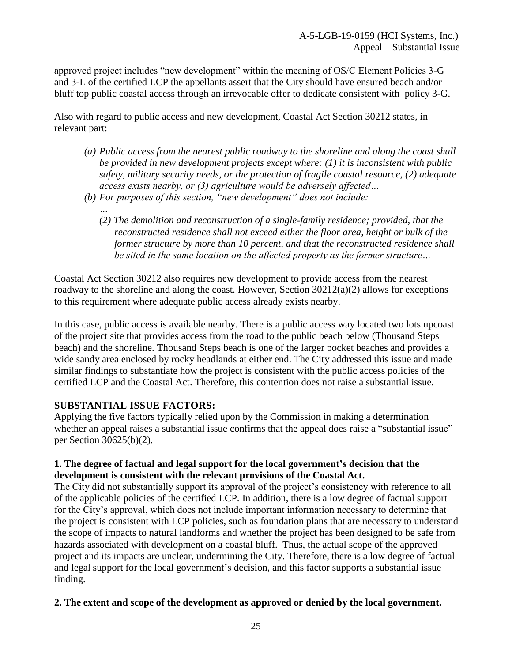approved project includes "new development" within the meaning of OS/C Element Policies 3-G and 3-L of the certified LCP the appellants assert that the City should have ensured beach and/or bluff top public coastal access through an irrevocable offer to dedicate consistent with policy 3-G.

Also with regard to public access and new development, Coastal Act Section 30212 states, in relevant part:

- *(a) Public access from the nearest public roadway to the shoreline and along the coast shall be provided in new development projects except where: (1) it is inconsistent with public safety, military security needs, or the protection of fragile coastal resource, (2) adequate access exists nearby, or (3) agriculture would be adversely affected…*
- *(b) For purposes of this section, "new development" does not include:*
	- *… (2) The demolition and reconstruction of a single-family residence; provided, that the reconstructed residence shall not exceed either the floor area, height or bulk of the former structure by more than 10 percent, and that the reconstructed residence shall be sited in the same location on the affected property as the former structure…*

Coastal Act Section 30212 also requires new development to provide access from the nearest roadway to the shoreline and along the coast. However, Section 30212(a)(2) allows for exceptions to this requirement where adequate public access already exists nearby.

In this case, public access is available nearby. There is a public access way located two lots upcoast of the project site that provides access from the road to the public beach below (Thousand Steps beach) and the shoreline. Thousand Steps beach is one of the larger pocket beaches and provides a wide sandy area enclosed by rocky headlands at either end. The City addressed this issue and made similar findings to substantiate how the project is consistent with the public access policies of the certified LCP and the Coastal Act. Therefore, this contention does not raise a substantial issue.

## **SUBSTANTIAL ISSUE FACTORS:**

Applying the five factors typically relied upon by the Commission in making a determination whether an appeal raises a substantial issue confirms that the appeal does raise a "substantial issue" per Section 30625(b)(2).

#### **1. The degree of factual and legal support for the local government's decision that the development is consistent with the relevant provisions of the Coastal Act.**

The City did not substantially support its approval of the project's consistency with reference to all of the applicable policies of the certified LCP. In addition, there is a low degree of factual support for the City's approval, which does not include important information necessary to determine that the project is consistent with LCP policies, such as foundation plans that are necessary to understand the scope of impacts to natural landforms and whether the project has been designed to be safe from hazards associated with development on a coastal bluff. Thus, the actual scope of the approved project and its impacts are unclear, undermining the City. Therefore, there is a low degree of factual and legal support for the local government's decision, and this factor supports a substantial issue finding.

#### **2. The extent and scope of the development as approved or denied by the local government.**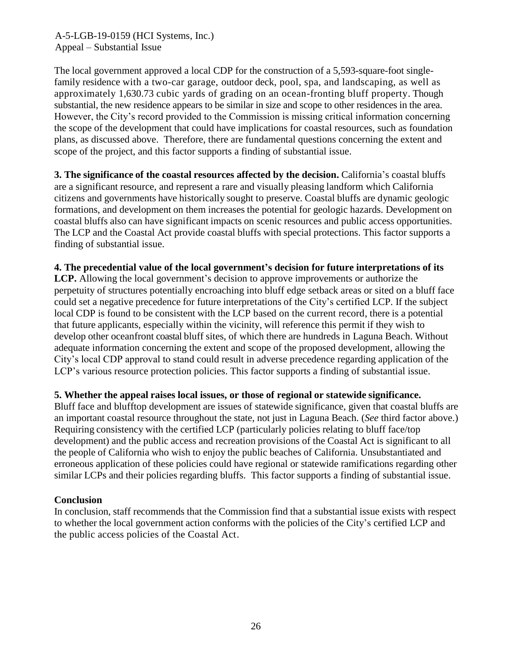The local government approved a local CDP for the construction of a 5,593-square-foot singlefamily residence with a two-car garage, outdoor deck, pool, spa, and landscaping, as well as approximately 1,630.73 cubic yards of grading on an ocean-fronting bluff property. Though substantial, the new residence appears to be similar in size and scope to other residences in the area. However, the City's record provided to the Commission is missing critical information concerning the scope of the development that could have implications for coastal resources, such as foundation plans, as discussed above. Therefore, there are fundamental questions concerning the extent and scope of the project, and this factor supports a finding of substantial issue.

**3. The significance of the coastal resources affected by the decision.** California's coastal bluffs are a significant resource, and represent a rare and visually pleasing landform which California citizens and governments have historically sought to preserve. Coastal bluffs are dynamic geologic formations, and development on them increases the potential for geologic hazards. Development on coastal bluffs also can have significant impacts on scenic resources and public access opportunities. The LCP and the Coastal Act provide coastal bluffs with special protections. This factor supports a finding of substantial issue.

**4. The precedential value of the local government's decision for future interpretations of its LCP.** Allowing the local government's decision to approve improvements or authorize the perpetuity of structures potentially encroaching into bluff edge setback areas or sited on a bluff face could set a negative precedence for future interpretations of the City's certified LCP. If the subject local CDP is found to be consistent with the LCP based on the current record, there is a potential that future applicants, especially within the vicinity, will reference this permit if they wish to develop other oceanfront coastal bluff sites, of which there are hundreds in Laguna Beach. Without

adequate information concerning the extent and scope of the proposed development, allowing the City's local CDP approval to stand could result in adverse precedence regarding application of the LCP's various resource protection policies. This factor supports a finding of substantial issue.

#### **5. Whether the appeal raises local issues, or those of regional or statewide significance.**

Bluff face and blufftop development are issues of statewide significance, given that coastal bluffs are an important coastal resource throughout the state, not just in Laguna Beach. (*See* third factor above.) Requiring consistency with the certified LCP (particularly policies relating to bluff face/top development) and the public access and recreation provisions of the Coastal Act is significant to all the people of California who wish to enjoy the public beaches of California. Unsubstantiated and erroneous application of these policies could have regional or statewide ramifications regarding other similar LCPs and their policies regarding bluffs. This factor supports a finding of substantial issue.

#### **Conclusion**

In conclusion, staff recommends that the Commission find that a substantial issue exists with respect to whether the local government action conforms with the policies of the City's certified LCP and the public access policies of the Coastal Act.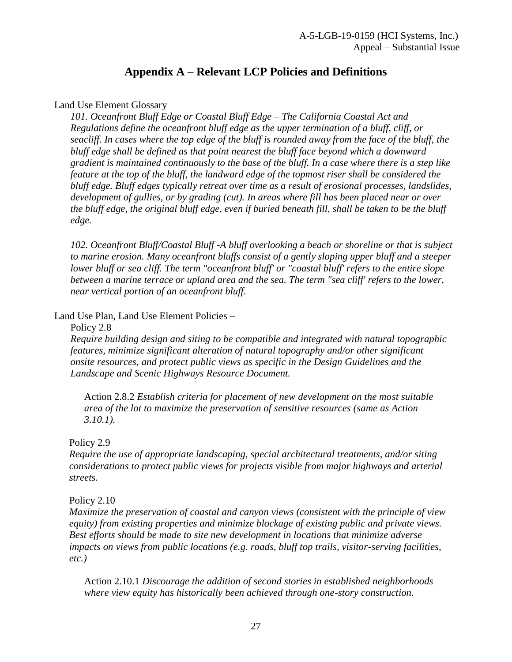# **Appendix A – Relevant LCP Policies and Definitions**

#### <span id="page-26-0"></span>Land Use Element Glossary

*101. Oceanfront Bluff Edge or Coastal Bluff Edge – The California Coastal Act and Regulations define the oceanfront bluff edge as the upper termination of a bluff, cliff, or seacliff. In cases where the top edge of the bluff is rounded away from the face of the bluff, the bluff edge shall be defined as that point nearest the bluff face beyond which a downward gradient is maintained continuously to the base of the bluff. In a case where there is a step like feature at the top of the bluff, the landward edge of the topmost riser shall be considered the bluff edge. Bluff edges typically retreat over time as a result of erosional processes, landslides, development of gullies, or by grading (cut). In areas where fill has been placed near or over the bluff edge, the original bluff edge, even if buried beneath fill, shall be taken to be the bluff edge.*

*102. Oceanfront Bluff/Coastal Bluff -A bluff overlooking a beach or shoreline or that is subject to marine erosion. Many oceanfront bluffs consist of a gently sloping upper bluff and a steeper lower bluff or sea cliff. The term "oceanfront bluff' or "coastal bluff' refers to the entire slope between a marine terrace or upland area and the sea. The term "sea cliff' refers to the lower, near vertical portion of an oceanfront bluff.*

#### Land Use Plan, Land Use Element Policies –

#### Policy 2.8

*Require building design and siting to be compatible and integrated with natural topographic features, minimize significant alteration of natural topography and/or other significant onsite resources, and protect public views as specific in the Design Guidelines and the Landscape and Scenic Highways Resource Document.*

Action 2.8.2 *Establish criteria for placement of new development on the most suitable area of the lot to maximize the preservation of sensitive resources (same as Action 3.10.1).*

#### Policy 2.9

*Require the use of appropriate landscaping, special architectural treatments, and/or siting considerations to protect public views for projects visible from major highways and arterial streets.*

#### Policy 2.10

*Maximize the preservation of coastal and canyon views (consistent with the principle of view equity) from existing properties and minimize blockage of existing public and private views. Best efforts should be made to site new development in locations that minimize adverse impacts on views from public locations (e.g. roads, bluff top trails, visitor-serving facilities, etc.)*

Action 2.10.1 *Discourage the addition of second stories in established neighborhoods where view equity has historically been achieved through one-story construction.*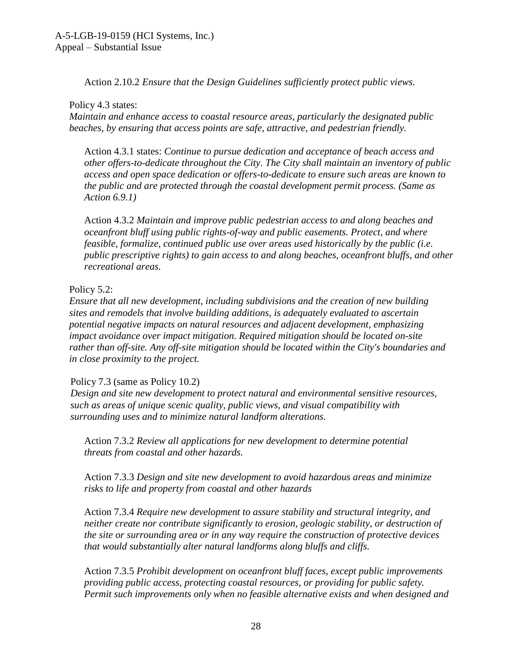Action 2.10.2 *Ensure that the Design Guidelines sufficiently protect public views.* 

#### Policy 4.3 states:

*Maintain and enhance access to coastal resource areas, particularly the designated public beaches, by ensuring that access points are safe, attractive, and pedestrian friendly.* 

Action 4.3.1 states: *Continue to pursue dedication and acceptance of beach access and other offers-to-dedicate throughout the City. The City shall maintain an inventory of public access and open space dedication or offers-to-dedicate to ensure such areas are known to the public and are protected through the coastal development permit process. (Same as Action 6.9.1)*

Action 4.3.2 *Maintain and improve public pedestrian access to and along beaches and oceanfront bluff using public rights-of-way and public easements. Protect, and where feasible, formalize, continued public use over areas used historically by the public (i.e. public prescriptive rights) to gain access to and along beaches, oceanfront bluffs, and other recreational areas.*

## Policy 5.2:

*Ensure that all new development, including subdivisions and the creation of new building sites and remodels that involve building additions, is adequately evaluated to ascertain potential negative impacts on natural resources and adjacent development, emphasizing impact avoidance over impact mitigation. Required mitigation should be located on-site rather than off-site. Any off-site mitigation should be located within the City's boundaries and in close proximity to the project.*

## Policy 7.3 (same as Policy 10.2)

*Design and site new development to protect natural and environmental sensitive resources, such as areas of unique scenic quality, public views, and visual compatibility with surrounding uses and to minimize natural landform alterations.*

Action 7.3.2 *Review all applications for new development to determine potential threats from coastal and other hazards.*

Action 7.3.3 *Design and site new development to avoid hazardous areas and minimize risks to life and property from coastal and other hazards*

Action 7.3.4 *Require new development to assure stability and structural integrity, and neither create nor contribute significantly to erosion, geologic stability, or destruction of the site or surrounding area or in any way require the construction of protective devices that would substantially alter natural landforms along bluffs and cliffs.*

Action 7.3.5 *Prohibit development on oceanfront bluff faces, except public improvements providing public access, protecting coastal resources, or providing for public safety. Permit such improvements only when no feasible alternative exists and when designed and*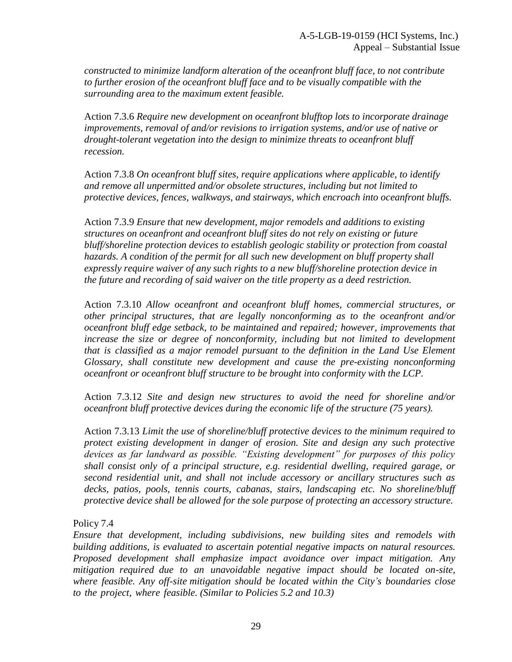*constructed to minimize landform alteration of the oceanfront bluff face, to not contribute to further erosion of the oceanfront bluff face and to be visually compatible with the surrounding area to the maximum extent feasible.*

Action 7.3.6 *Require new development on oceanfront blufftop lots to incorporate drainage improvements, removal of and/or revisions to irrigation systems, and/or use of native or drought-tolerant vegetation into the design to minimize threats to oceanfront bluff recession.*

Action 7.3.8 *On oceanfront bluff sites, require applications where applicable, to identify and remove all unpermitted and/or obsolete structures, including but not limited to protective devices, fences, walkways, and stairways, which encroach into oceanfront bluffs.*

Action 7.3.9 *Ensure that new development, major remodels and additions to existing structures on oceanfront and oceanfront bluff sites do not rely on existing or future bluff/shoreline protection devices to establish geologic stability or protection from coastal hazards. A condition of the permit for all such new development on bluff property shall expressly require waiver of any such rights to a new bluff/shoreline protection device in the future and recording of said waiver on the title property as a deed restriction.*

Action 7.3.10 *Allow oceanfront and oceanfront bluff homes, commercial structures, or other principal structures, that are legally nonconforming as to the oceanfront and/or oceanfront bluff edge setback, to be maintained and repaired; however, improvements that increase the size or degree of nonconformity, including but not limited to development that is classified as a major remodel pursuant to the definition in the Land Use Element Glossary, shall constitute new development and cause the pre-existing nonconforming oceanfront or oceanfront bluff structure to be brought into conformity with the LCP.*

Action 7.3.12 *Site and design new structures to avoid the need for shoreline and/or oceanfront bluff protective devices during the economic life of the structure (75 years).* 

Action 7.3.13 *Limit the use of shoreline/bluff protective devices to the minimum required to protect existing development in danger of erosion. Site and design any such protective devices as far landward as possible. "Existing development" for purposes of this policy shall consist only of a principal structure, e.g. residential dwelling, required garage, or second residential unit, and shall not include accessory or ancillary structures such as decks, patios, pools, tennis courts, cabanas, stairs, landscaping etc. No shoreline/bluff protective device shall be allowed for the sole purpose of protecting an accessory structure.*

Policy 7.4

*Ensure that development, including subdivisions, new building sites and remodels with building additions, is evaluated to ascertain potential negative impacts on natural resources. Proposed development shall emphasize impact avoidance over impact mitigation. Any mitigation required due to an unavoidable negative impact should be located on-site, where feasible. Any off-site mitigation should be located within the City's boundaries close to the project, where feasible. (Similar to Policies 5.2 and 10.3)*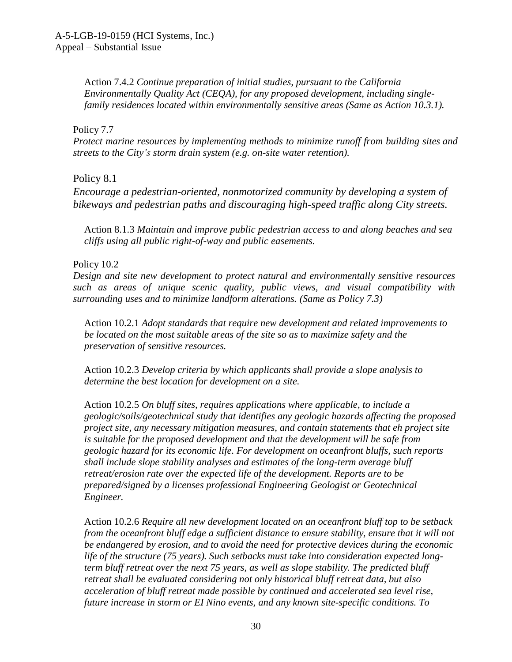Action 7.4.2 *Continue preparation of initial studies, pursuant to the California Environmentally Quality Act (CEQA), for any proposed development, including singlefamily residences located within environmentally sensitive areas (Same as Action 10.3.1).*

#### Policy 7.7

*Protect marine resources by implementing methods to minimize runoff from building sites and streets to the City's storm drain system (e.g. on-site water retention).*

Policy 8.1

*Encourage a pedestrian-oriented, nonmotorized community by developing a system of bikeways and pedestrian paths and discouraging high-speed traffic along City streets.*

Action 8.1.3 *Maintain and improve public pedestrian access to and along beaches and sea cliffs using all public right-of-way and public easements.*

Policy 10.2

*Design and site new development to protect natural and environmentally sensitive resources such as areas of unique scenic quality, public views, and visual compatibility with surrounding uses and to minimize landform alterations. (Same as Policy 7.3)*

Action 10.2.1 *Adopt standards that require new development and related improvements to be located on the most suitable areas of the site so as to maximize safety and the preservation of sensitive resources.* 

Action 10.2.3 *Develop criteria by which applicants shall provide a slope analysis to determine the best location for development on a site.*

Action 10.2.5 *On bluff sites, requires applications where applicable, to include a geologic/soils/geotechnical study that identifies any geologic hazards affecting the proposed project site, any necessary mitigation measures, and contain statements that eh project site is suitable for the proposed development and that the development will be safe from geologic hazard for its economic life. For development on oceanfront bluffs, such reports shall include slope stability analyses and estimates of the long-term average bluff retreat/erosion rate over the expected life of the development. Reports are to be prepared/signed by a licenses professional Engineering Geologist or Geotechnical Engineer.*

Action 10.2.6 *Require all new development located on an oceanfront bluff top to be setback from the oceanfront bluff edge a sufficient distance to ensure stability, ensure that it will not be endangered by erosion, and to avoid the need for protective devices during the economic life of the structure (75 years). Such setbacks must take into consideration expected longterm bluff retreat over the next 75 years, as well as slope stability. The predicted bluff retreat shall be evaluated considering not only historical bluff retreat data, but also acceleration of bluff retreat made possible by continued and accelerated sea level rise, future increase in storm or EI Nino events, and any known site-specific conditions. To*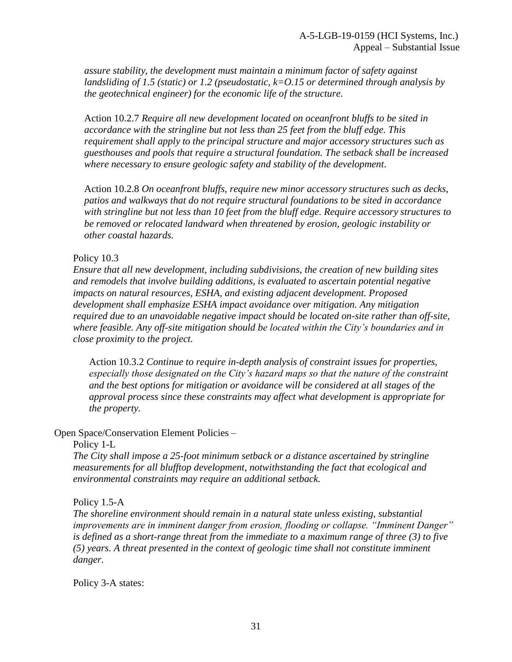*assure stability, the development must maintain a minimum factor of safety against landsliding of 1.5 (static) or 1.2 (pseudostatic, k=O.15 or determined through analysis by the geotechnical engineer) for the economic life of the structure.*

Action 10.2.7 *Require all new development located on oceanfront bluffs to be sited in accordance with the stringline but not less than 25 feet from the bluff edge. This requirement shall apply to the principal structure and major accessory structures such as guesthouses and pools that require a structural foundation. The setback shall be increased where necessary to ensure geologic safety and stability of the development.*

Action 10.2.8 *On oceanfront bluffs, require new minor accessory structures such as decks, patios and walkways that do not require structural foundations to be sited in accordance with stringline but not less than 10 feet from the bluff edge. Require accessory structures to be removed or relocated landward when threatened by erosion, geologic instability or other coastal hazards.*

#### Policy 10.3

*Ensure that all new development, including subdivisions, the creation of new building sites and remodels that involve building additions, is evaluated to ascertain potential negative impacts on natural resources, ESHA, and existing adjacent development. Proposed development shall emphasize ESHA impact avoidance over mitigation. Any mitigation required due to an unavoidable negative impact should be located on-site rather than off-site, where feasible. Any off-site mitigation should be located within the City's boundaries and in close proximity to the project.*

Action 10.3.2 *Continue to require in-depth analysis of constraint issues for properties, especially those designated on the City's hazard maps so that the nature of the constraint and the best options for mitigation or avoidance will be considered at all stages of the approval process since these constraints may affect what development is appropriate for the property.*

#### Open Space/Conservation Element Policies –

#### Policy 1-L

*The City shall impose a 25-foot minimum setback or a distance ascertained by stringline measurements for all blufftop development, notwithstanding the fact that ecological and environmental constraints may require an additional setback.*

#### Policy 1.5-A

*The shoreline environment should remain in a natural state unless existing, substantial improvements are in imminent danger from erosion, flooding or collapse. "Imminent Danger" is defined as a short-range threat from the immediate to a maximum range of three (3) to five (5) years. A threat presented in the context of geologic time shall not constitute imminent danger.*

Policy 3-A states: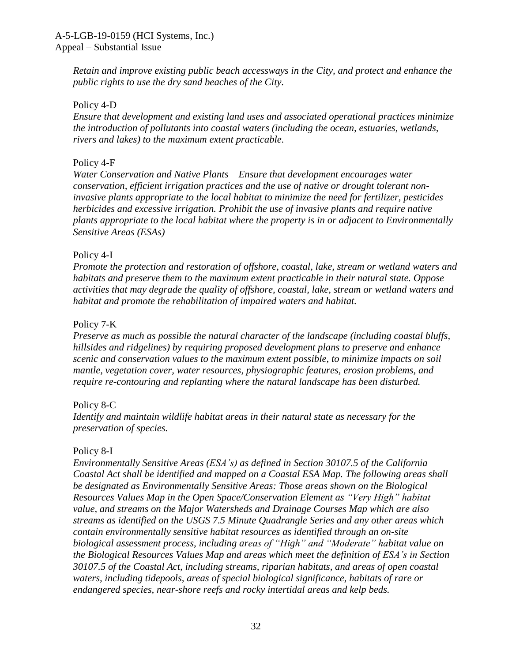*Retain and improve existing public beach accessways in the City, and protect and enhance the public rights to use the dry sand beaches of the City.*

#### Policy 4-D

*Ensure that development and existing land uses and associated operational practices minimize the introduction of pollutants into coastal waters (including the ocean, estuaries, wetlands, rivers and lakes) to the maximum extent practicable.*

#### Policy 4-F

*Water Conservation and Native Plants – Ensure that development encourages water conservation, efficient irrigation practices and the use of native or drought tolerant noninvasive plants appropriate to the local habitat to minimize the need for fertilizer, pesticides herbicides and excessive irrigation. Prohibit the use of invasive plants and require native plants appropriate to the local habitat where the property is in or adjacent to Environmentally Sensitive Areas (ESAs)*

#### Policy 4-I

*Promote the protection and restoration of offshore, coastal, lake, stream or wetland waters and habitats and preserve them to the maximum extent practicable in their natural state. Oppose activities that may degrade the quality of offshore, coastal, lake, stream or wetland waters and habitat and promote the rehabilitation of impaired waters and habitat.*

#### Policy 7-K

*Preserve as much as possible the natural character of the landscape (including coastal bluffs, hillsides and ridgelines) by requiring proposed development plans to preserve and enhance scenic and conservation values to the maximum extent possible, to minimize impacts on soil mantle, vegetation cover, water resources, physiographic features, erosion problems, and require re-contouring and replanting where the natural landscape has been disturbed.*

## Policy 8-C

*Identify and maintain wildlife habitat areas in their natural state as necessary for the preservation of species.*

#### Policy 8-I

*Environmentally Sensitive Areas (ESA's) as defined in Section 30107.5 of the California Coastal Act shall be identified and mapped on a Coastal ESA Map. The following areas shall be designated as Environmentally Sensitive Areas: Those areas shown on the Biological Resources Values Map in the Open Space/Conservation Element as "Very High" habitat value, and streams on the Major Watersheds and Drainage Courses Map which are also streams as identified on the USGS 7.5 Minute Quadrangle Series and any other areas which contain environmentally sensitive habitat resources as identified through an on-site biological assessment process, including areas of "High" and "Moderate" habitat value on the Biological Resources Values Map and areas which meet the definition of ESA's in Section 30107.5 of the Coastal Act, including streams, riparian habitats, and areas of open coastal waters, including tidepools, areas of special biological significance, habitats of rare or endangered species, near-shore reefs and rocky intertidal areas and kelp beds.*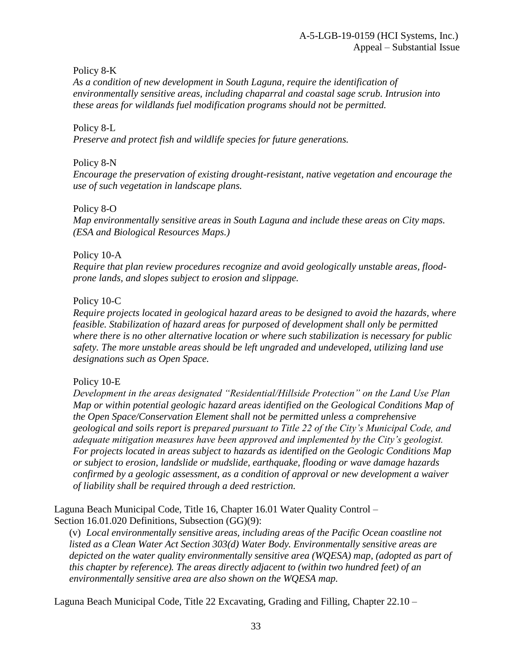Policy 8-K

*As a condition of new development in South Laguna, require the identification of environmentally sensitive areas, including chaparral and coastal sage scrub. Intrusion into these areas for wildlands fuel modification programs should not be permitted.*

#### Policy 8-L

*Preserve and protect fish and wildlife species for future generations.*

#### Policy 8-N

*Encourage the preservation of existing drought-resistant, native vegetation and encourage the use of such vegetation in landscape plans.*

Policy 8-O

*Map environmentally sensitive areas in South Laguna and include these areas on City maps. (ESA and Biological Resources Maps.)*

#### Policy 10-A

*Require that plan review procedures recognize and avoid geologically unstable areas, floodprone lands, and slopes subject to erosion and slippage.*

#### Policy 10-C

*Require projects located in geological hazard areas to be designed to avoid the hazards, where feasible. Stabilization of hazard areas for purposed of development shall only be permitted where there is no other alternative location or where such stabilization is necessary for public safety. The more unstable areas should be left ungraded and undeveloped, utilizing land use designations such as Open Space.*

## Policy 10-E

*Development in the areas designated "Residential/Hillside Protection" on the Land Use Plan Map or within potential geologic hazard areas identified on the Geological Conditions Map of the Open Space/Conservation Element shall not be permitted unless a comprehensive geological and soils report is prepared pursuant to Title 22 of the City's Municipal Code, and adequate mitigation measures have been approved and implemented by the City's geologist. For projects located in areas subject to hazards as identified on the Geologic Conditions Map or subject to erosion, landslide or mudslide, earthquake, flooding or wave damage hazards confirmed by a geologic assessment, as a condition of approval or new development a waiver of liability shall be required through a deed restriction.*

Laguna Beach Municipal Code, Title 16, Chapter 16.01 Water Quality Control – Section 16.01.020 Definitions, Subsection (GG)(9):

(v) *Local environmentally sensitive areas, including areas of the Pacific Ocean coastline not listed as a Clean Water Act Section 303(d) Water Body. Environmentally sensitive areas are depicted on the water quality environmentally sensitive area (WQESA) map, (adopted as part of this chapter by reference). The areas directly adjacent to (within two hundred feet) of an environmentally sensitive area are also shown on the WQESA map.*

Laguna Beach Municipal Code, Title 22 Excavating, Grading and Filling, Chapter 22.10 –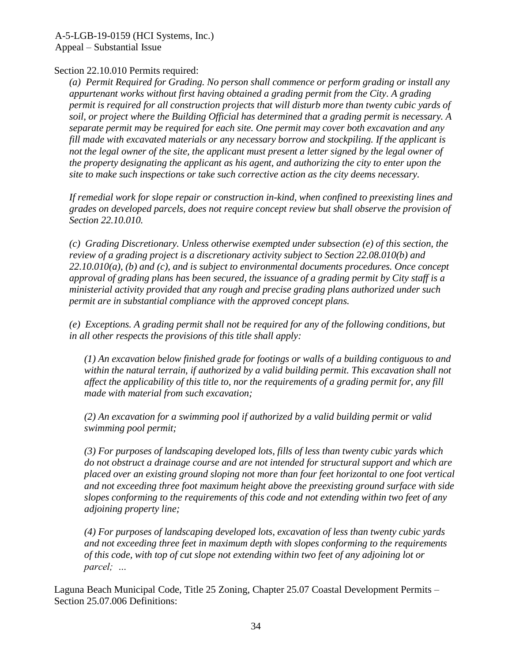#### Section 22.10.010 Permits required:

*(a) Permit Required for Grading. No person shall commence or perform grading or install any appurtenant works without first having obtained a grading permit from the City. A grading permit is required for all construction projects that will disturb more than twenty cubic yards of soil, or project where the Building Official has determined that a grading permit is necessary. A separate permit may be required for each site. One permit may cover both excavation and any fill made with excavated materials or any necessary borrow and stockpiling. If the applicant is not the legal owner of the site, the applicant must present a letter signed by the legal owner of the property designating the applicant as his agent, and authorizing the city to enter upon the site to make such inspections or take such corrective action as the city deems necessary.*

*If remedial work for slope repair or construction in-kind, when confined to preexisting lines and grades on developed parcels, does not require concept review but shall observe the provision of Section 22.10.010.*

*(c) Grading Discretionary. Unless otherwise exempted under subsection (e) of this section, the review of a grading project is a discretionary activity subject to Section 22.08.010(b) and 22.10.010(a), (b) and (c), and is subject to environmental documents procedures. Once concept approval of grading plans has been secured, the issuance of a grading permit by City staff is a ministerial activity provided that any rough and precise grading plans authorized under such permit are in substantial compliance with the approved concept plans.* 

*(e) Exceptions. A grading permit shall not be required for any of the following conditions, but in all other respects the provisions of this title shall apply:*

*(1) An excavation below finished grade for footings or walls of a building contiguous to and within the natural terrain, if authorized by a valid building permit. This excavation shall not affect the applicability of this title to, nor the requirements of a grading permit for, any fill made with material from such excavation;* 

*(2) An excavation for a swimming pool if authorized by a valid building permit or valid swimming pool permit;* 

*(3) For purposes of landscaping developed lots, fills of less than twenty cubic yards which do not obstruct a drainage course and are not intended for structural support and which are placed over an existing ground sloping not more than four feet horizontal to one foot vertical and not exceeding three foot maximum height above the preexisting ground surface with side slopes conforming to the requirements of this code and not extending within two feet of any adjoining property line;* 

*(4) For purposes of landscaping developed lots, excavation of less than twenty cubic yards and not exceeding three feet in maximum depth with slopes conforming to the requirements of this code, with top of cut slope not extending within two feet of any adjoining lot or parcel; …*

Laguna Beach Municipal Code, Title 25 Zoning, Chapter 25.07 Coastal Development Permits – Section 25.07.006 Definitions: